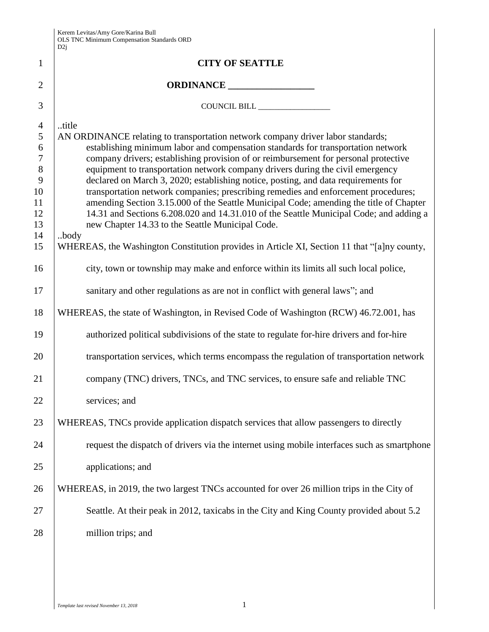|                  | D2j                                                                                                                                        |
|------------------|--------------------------------------------------------------------------------------------------------------------------------------------|
| 1                | <b>CITY OF SEATTLE</b>                                                                                                                     |
| $\overline{2}$   |                                                                                                                                            |
| 3                | COUNCIL BILL                                                                                                                               |
| $\overline{4}$   | title                                                                                                                                      |
| $\mathfrak{S}$   | AN ORDINANCE relating to transportation network company driver labor standards;                                                            |
| 6                | establishing minimum labor and compensation standards for transportation network                                                           |
| $\boldsymbol{7}$ | company drivers; establishing provision of or reimbursement for personal protective                                                        |
| $8\,$            | equipment to transportation network company drivers during the civil emergency                                                             |
| 9                | declared on March 3, 2020; establishing notice, posting, and data requirements for                                                         |
| 10               | transportation network companies; prescribing remedies and enforcement procedures;                                                         |
| 11               | amending Section 3.15.000 of the Seattle Municipal Code; amending the title of Chapter                                                     |
| 12<br>13         | 14.31 and Sections 6.208.020 and 14.31.010 of the Seattle Municipal Code; and adding a<br>new Chapter 14.33 to the Seattle Municipal Code. |
| 14               | body                                                                                                                                       |
| 15               | WHEREAS, the Washington Constitution provides in Article XI, Section 11 that "[a]ny county,                                                |
| 16               | city, town or township may make and enforce within its limits all such local police,                                                       |
| 17               | sanitary and other regulations as are not in conflict with general laws"; and                                                              |
| 18               | WHEREAS, the state of Washington, in Revised Code of Washington (RCW) 46.72.001, has                                                       |
| 19               | authorized political subdivisions of the state to regulate for-hire drivers and for-hire                                                   |
| 20               | transportation services, which terms encompass the regulation of transportation network                                                    |
| 21               | company (TNC) drivers, TNCs, and TNC services, to ensure safe and reliable TNC                                                             |
| 22               | services; and                                                                                                                              |
| 23               | WHEREAS, TNCs provide application dispatch services that allow passengers to directly                                                      |
| 24               | request the dispatch of drivers via the internet using mobile interfaces such as smartphone                                                |
| 25               | applications; and                                                                                                                          |
| 26               | WHEREAS, in 2019, the two largest TNCs accounted for over 26 million trips in the City of                                                  |
| 27               | Seattle. At their peak in 2012, taxicabs in the City and King County provided about 5.2                                                    |
| 28               | million trips; and                                                                                                                         |
|                  |                                                                                                                                            |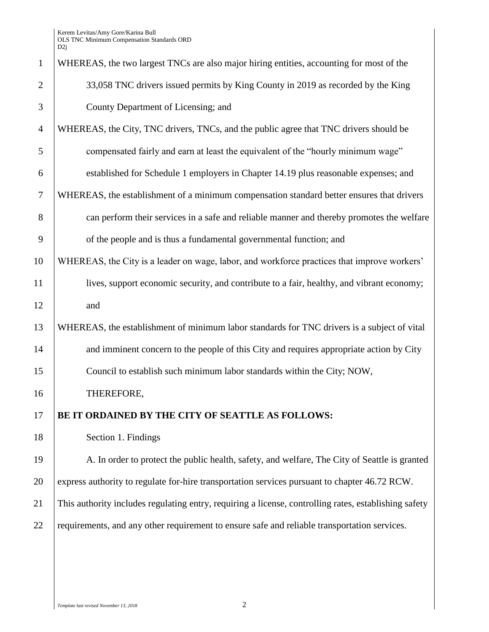| WHEREAS, the two largest TNCs are also major hiring entities, accounting for most of the              |
|-------------------------------------------------------------------------------------------------------|
| 33,058 TNC drivers issued permits by King County in 2019 as recorded by the King                      |
| County Department of Licensing; and                                                                   |
| WHEREAS, the City, TNC drivers, TNCs, and the public agree that TNC drivers should be                 |
| compensated fairly and earn at least the equivalent of the "hourly minimum wage"                      |
| established for Schedule 1 employers in Chapter 14.19 plus reasonable expenses; and                   |
| WHEREAS, the establishment of a minimum compensation standard better ensures that drivers             |
| can perform their services in a safe and reliable manner and thereby promotes the welfare             |
| of the people and is thus a fundamental governmental function; and                                    |
| WHEREAS, the City is a leader on wage, labor, and workforce practices that improve workers'           |
| lives, support economic security, and contribute to a fair, healthy, and vibrant economy;             |
| and                                                                                                   |
| WHEREAS, the establishment of minimum labor standards for TNC drivers is a subject of vital           |
| and imminent concern to the people of this City and requires appropriate action by City               |
| Council to establish such minimum labor standards within the City; NOW,                               |
| THEREFORE,                                                                                            |
| BE IT ORDAINED BY THE CITY OF SEATTLE AS FOLLOWS:                                                     |
| Section 1. Findings                                                                                   |
| A. In order to protect the public health, safety, and welfare, The City of Seattle is granted         |
| express authority to regulate for-hire transportation services pursuant to chapter 46.72 RCW.         |
| This authority includes regulating entry, requiring a license, controlling rates, establishing safety |
| requirements, and any other requirement to ensure safe and reliable transportation services.          |
|                                                                                                       |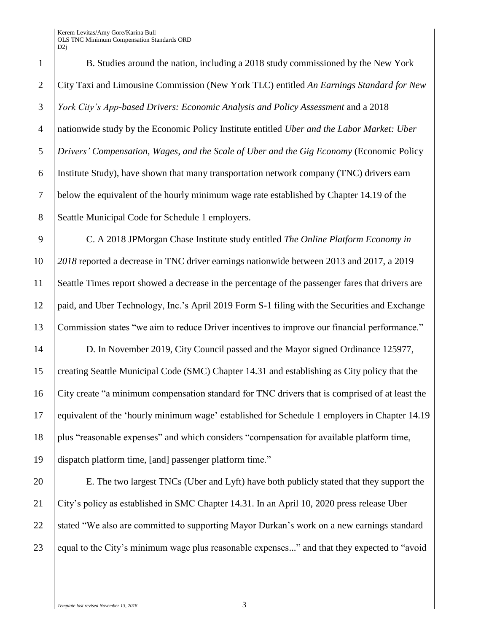B. Studies around the nation, including a 2018 study commissioned by the New York City Taxi and Limousine Commission (New York TLC) entitled *An Earnings Standard for New York City's App-based Drivers: Economic Analysis and Policy Assessment* and a 2018 nationwide study by the Economic Policy Institute entitled *Uber and the Labor Market: Uber Drivers' Compensation, Wages, and the Scale of Uber and the Gig Economy* (Economic Policy Institute Study), have shown that many transportation network company (TNC) drivers earn below the equivalent of the hourly minimum wage rate established by Chapter 14.19 of the 8 Seattle Municipal Code for Schedule 1 employers.

 C. A 2018 JPMorgan Chase Institute study entitled *The Online Platform Economy in 2018* reported a decrease in TNC driver earnings nationwide between 2013 and 2017, a 2019 Seattle Times report showed a decrease in the percentage of the passenger fares that drivers are paid, and Uber Technology, Inc.'s April 2019 Form S-1 filing with the Securities and Exchange Commission states "we aim to reduce Driver incentives to improve our financial performance."

 D. In November 2019, City Council passed and the Mayor signed Ordinance 125977, creating Seattle Municipal Code (SMC) Chapter 14.31 and establishing as City policy that the City create "a minimum compensation standard for TNC drivers that is comprised of at least the equivalent of the 'hourly minimum wage' established for Schedule 1 employers in Chapter 14.19 plus "reasonable expenses" and which considers "compensation for available platform time, dispatch platform time, [and] passenger platform time."

 E. The two largest TNCs (Uber and Lyft) have both publicly stated that they support the City's policy as established in SMC Chapter 14.31. In an April 10, 2020 press release Uber 22 Stated "We also are committed to supporting Mayor Durkan's work on a new earnings standard equal to the City's minimum wage plus reasonable expenses..." and that they expected to "avoid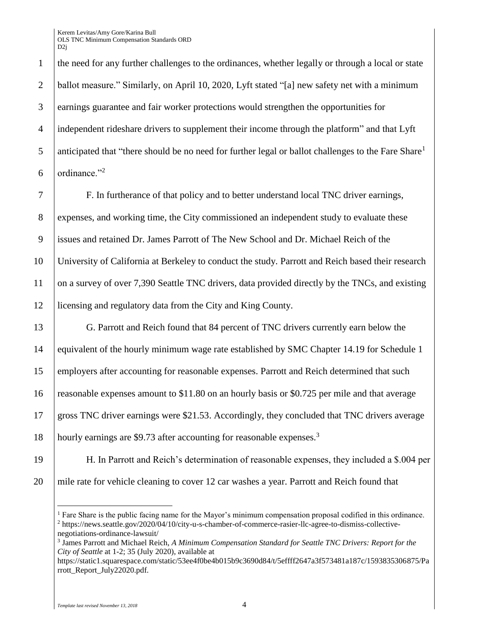the need for any further challenges to the ordinances, whether legally or through a local or state ballot measure." Similarly, on April 10, 2020, Lyft stated "[a] new safety net with a minimum earnings guarantee and fair worker protections would strengthen the opportunities for independent rideshare drivers to supplement their income through the platform" and that Lyft anticipated that "there should be no need for further legal or ballot challenges to the Fare Share<sup>1</sup> ordinance."<sup>2</sup>

 F. In furtherance of that policy and to better understand local TNC driver earnings, 8 expenses, and working time, the City commissioned an independent study to evaluate these issues and retained Dr. James Parrott of The New School and Dr. Michael Reich of the University of California at Berkeley to conduct the study. Parrott and Reich based their research 11 on a survey of over 7,390 Seattle TNC drivers, data provided directly by the TNCs, and existing licensing and regulatory data from the City and King County.

 G. Parrott and Reich found that 84 percent of TNC drivers currently earn below the 14 equivalent of the hourly minimum wage rate established by SMC Chapter 14.19 for Schedule 1 employers after accounting for reasonable expenses. Parrott and Reich determined that such reasonable expenses amount to \$11.80 on an hourly basis or \$0.725 per mile and that average gross TNC driver earnings were \$21.53. Accordingly, they concluded that TNC drivers average hourly earnings are \$9.73 after accounting for reasonable expenses.<sup>3</sup>

19 H. In Parrott and Reich's determination of reasonable expenses, they included a \$.004 per 20 mile rate for vehicle cleaning to cover 12 car washes a year. Parrott and Reich found that

 $\overline{a}$ <sup>1</sup> Fare Share is the public facing name for the Mayor's minimum compensation proposal codified in this ordinance. <sup>2</sup> https://news.seattle.gov/2020/04/10/city-u-s-chamber-of-commerce-rasier-llc-agree-to-dismiss-collectivenegotiations-ordinance-lawsuit/

<sup>3</sup> James Parrott and Michael Reich, *A Minimum Compensation Standard for Seattle TNC Drivers: Report for the City of Seattle* at 1-2; 35 (July 2020), available at

https://static1.squarespace.com/static/53ee4f0be4b015b9c3690d84/t/5effff2647a3f573481a187c/1593835306875/Pa rrott\_Report\_July22020.pdf.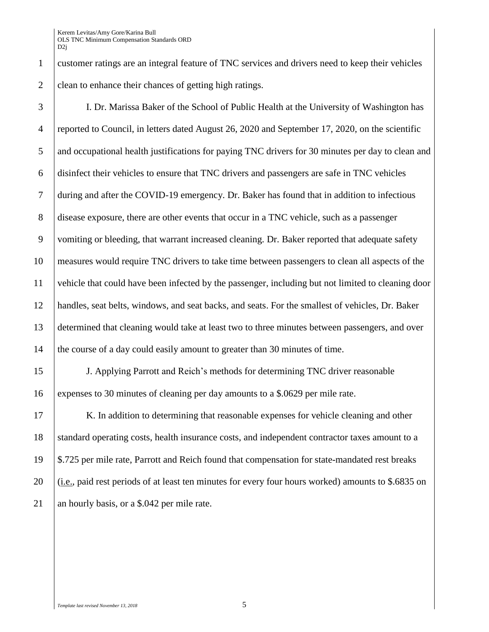customer ratings are an integral feature of TNC services and drivers need to keep their vehicles 2 clean to enhance their chances of getting high ratings.

 I. Dr. Marissa Baker of the School of Public Health at the University of Washington has reported to Council, in letters dated August 26, 2020 and September 17, 2020, on the scientific 5 and occupational health justifications for paying TNC drivers for 30 minutes per day to clean and disinfect their vehicles to ensure that TNC drivers and passengers are safe in TNC vehicles during and after the COVID-19 emergency. Dr. Baker has found that in addition to infectious disease exposure, there are other events that occur in a TNC vehicle, such as a passenger vomiting or bleeding, that warrant increased cleaning. Dr. Baker reported that adequate safety measures would require TNC drivers to take time between passengers to clean all aspects of the vehicle that could have been infected by the passenger, including but not limited to cleaning door handles, seat belts, windows, and seat backs, and seats. For the smallest of vehicles, Dr. Baker determined that cleaning would take at least two to three minutes between passengers, and over the course of a day could easily amount to greater than 30 minutes of time.

 J. Applying Parrott and Reich's methods for determining TNC driver reasonable expenses to 30 minutes of cleaning per day amounts to a \$.0629 per mile rate.

17 K. In addition to determining that reasonable expenses for vehicle cleaning and other standard operating costs, health insurance costs, and independent contractor taxes amount to a \$.725 per mile rate, Parrott and Reich found that compensation for state-mandated rest breaks 20  $\left($  (i.e., paid rest periods of at least ten minutes for every four hours worked) amounts to \$.6835 on 21 an hourly basis, or a \$.042 per mile rate.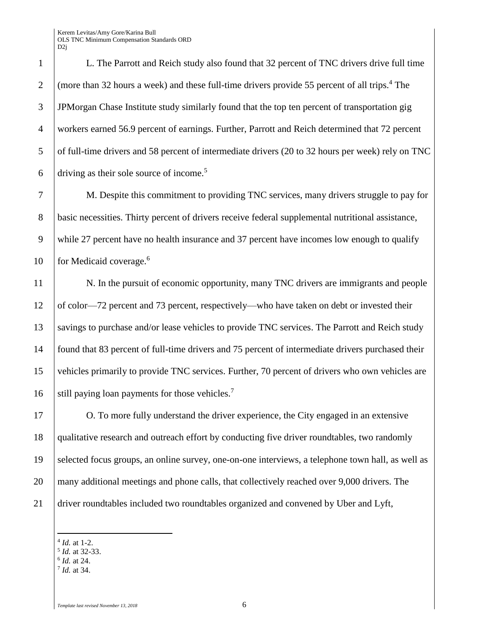L. The Parrott and Reich study also found that 32 percent of TNC drivers drive full time  $\int$  (more than 32 hours a week) and these full-time drivers provide 55 percent of all trips.<sup>4</sup> The JPMorgan Chase Institute study similarly found that the top ten percent of transportation gig workers earned 56.9 percent of earnings. Further, Parrott and Reich determined that 72 percent 5 of full-time drivers and 58 percent of intermediate drivers (20 to 32 hours per week) rely on TNC driving as their sole source of income.<sup>5</sup>

7 M. Despite this commitment to providing TNC services, many drivers struggle to pay for 8 basic necessities. Thirty percent of drivers receive federal supplemental nutritional assistance, 9 while 27 percent have no health insurance and 37 percent have incomes low enough to qualify for Medicaid coverage.<sup>6</sup>

11 N. In the pursuit of economic opportunity, many TNC drivers are immigrants and people 12 of color—72 percent and 73 percent, respectively—who have taken on debt or invested their 13 Savings to purchase and/or lease vehicles to provide TNC services. The Parrott and Reich study 14 found that 83 percent of full-time drivers and 75 percent of intermediate drivers purchased their 15 vehicles primarily to provide TNC services. Further, 70 percent of drivers who own vehicles are still paying loan payments for those vehicles.<sup>7</sup>

17 O. To more fully understand the driver experience, the City engaged in an extensive 18 qualitative research and outreach effort by conducting five driver roundtables, two randomly 19 selected focus groups, an online survey, one-on-one interviews, a telephone town hall, as well as 20 many additional meetings and phone calls, that collectively reached over 9,000 drivers. The 21 driver roundtables included two roundtables organized and convened by Uber and Lyft,

- $\overline{a}$ 4 *Id.* at 1-2.
- 5 *Id.* at 32-33.
- 6 *Id.* at 24.
- 7 *Id.* at 34.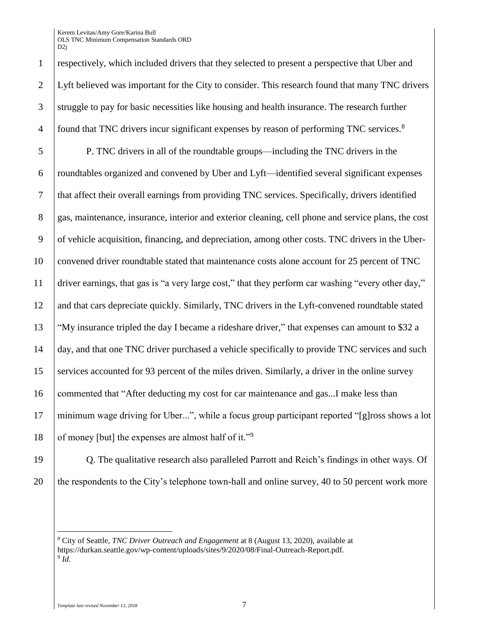respectively, which included drivers that they selected to present a perspective that Uber and Lyft believed was important for the City to consider. This research found that many TNC drivers struggle to pay for basic necessities like housing and health insurance. The research further found that TNC drivers incur significant expenses by reason of performing TNC services.<sup>8</sup> 

 P. TNC drivers in all of the roundtable groups—including the TNC drivers in the roundtables organized and convened by Uber and Lyft—identified several significant expenses that affect their overall earnings from providing TNC services. Specifically, drivers identified 8 gas, maintenance, insurance, interior and exterior cleaning, cell phone and service plans, the cost of vehicle acquisition, financing, and depreciation, among other costs. TNC drivers in the Uber- convened driver roundtable stated that maintenance costs alone account for 25 percent of TNC driver earnings, that gas is "a very large cost," that they perform car washing "every other day," and that cars depreciate quickly. Similarly, TNC drivers in the Lyft-convened roundtable stated "My insurance tripled the day I became a rideshare driver," that expenses can amount to \$32 a day, and that one TNC driver purchased a vehicle specifically to provide TNC services and such 15 services accounted for 93 percent of the miles driven. Similarly, a driver in the online survey commented that "After deducting my cost for car maintenance and gas...I make less than minimum wage driving for Uber...", while a focus group participant reported "[g]ross shows a lot of money [but] the expenses are almost half of it."<sup>9</sup> 

 $\overline{a}$ 

**Q.** The qualitative research also paralleled Parrott and Reich's findings in other ways. Of 20 the respondents to the City's telephone town-hall and online survey, 40 to 50 percent work more

 City of Seattle, *TNC Driver Outreach and Engagement* at 8 (August 13, 2020), available at https://durkan.seattle.gov/wp-content/uploads/sites/9/2020/08/Final-Outreach-Report.pdf. *Id.*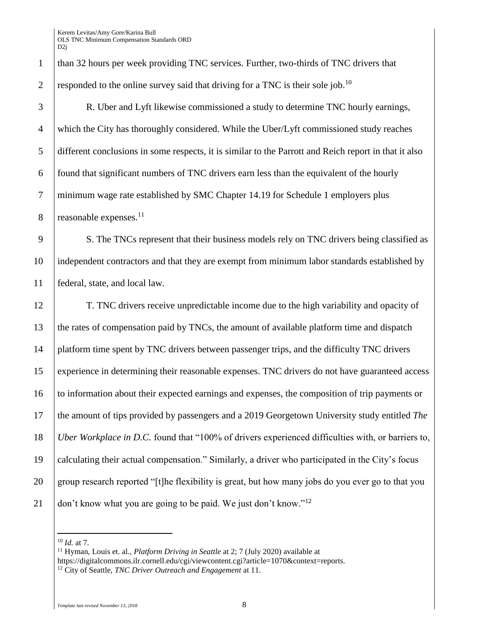1 | than 32 hours per week providing TNC services. Further, two-thirds of TNC drivers that 2 responded to the online survey said that driving for a TNC is their sole job.<sup>10</sup>

 R. Uber and Lyft likewise commissioned a study to determine TNC hourly earnings, which the City has thoroughly considered. While the Uber/Lyft commissioned study reaches different conclusions in some respects, it is similar to the Parrott and Reich report in that it also found that significant numbers of TNC drivers earn less than the equivalent of the hourly minimum wage rate established by SMC Chapter 14.19 for Schedule 1 employers plus 8 reasonable expenses. $^{11}$ 

9 S. The TNCs represent that their business models rely on TNC drivers being classified as 10 independent contractors and that they are exempt from minimum labor standards established by 11 federal, state, and local law.

 T. TNC drivers receive unpredictable income due to the high variability and opacity of the rates of compensation paid by TNCs, the amount of available platform time and dispatch platform time spent by TNC drivers between passenger trips, and the difficulty TNC drivers experience in determining their reasonable expenses. TNC drivers do not have guaranteed access to information about their expected earnings and expenses, the composition of trip payments or the amount of tips provided by passengers and a 2019 Georgetown University study entitled *The Uber Workplace in D.C.* found that "100% of drivers experienced difficulties with, or barriers to, calculating their actual compensation." Similarly, a driver who participated in the City's focus 20 group research reported "[t]he flexibility is great, but how many jobs do you ever go to that you  $\int$  don't know what you are going to be paid. We just don't know."<sup>12</sup>

 $\overline{a}$ 

<sup>11</sup> Hyman, Louis et. al., *Platform Driving in Seattle* at 2; 7 (July 2020) available at https://digitalcommons.ilr.cornell.edu/cgi/viewcontent.cgi?article=1070&context=reports. <sup>12</sup> City of Seattle, *TNC Driver Outreach and Engagement* at 11.

<sup>10</sup> *Id.* at 7.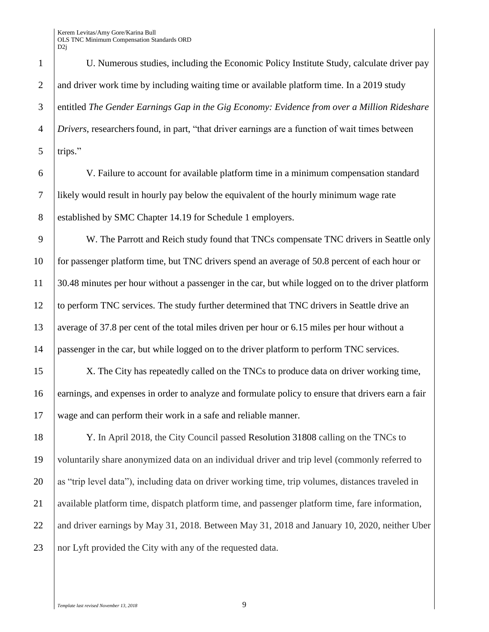1 U. Numerous studies, including the Economic Policy Institute Study, calculate driver pay 2 and driver work time by including waiting time or available platform time. In a 2019 study 3 entitled *The Gender Earnings Gap in the Gig Economy: Evidence from over a Million Rideshare*  4 *Drivers*, researchersfound, in part, "that driver earnings are a function of wait times between  $5$  trips."

6 V. Failure to account for available platform time in a minimum compensation standard 7 likely would result in hourly pay below the equivalent of the hourly minimum wage rate 8 established by SMC Chapter 14.19 for Schedule 1 employers.

9 W. The Parrott and Reich study found that TNCs compensate TNC drivers in Seattle only for passenger platform time, but TNC drivers spend an average of 50.8 percent of each hour or 30.48 minutes per hour without a passenger in the car, but while logged on to the driver platform 12 to perform TNC services. The study further determined that TNC drivers in Seattle drive an average of 37.8 per cent of the total miles driven per hour or 6.15 miles per hour without a passenger in the car, but while logged on to the driver platform to perform TNC services.

15 X. The City has repeatedly called on the TNCs to produce data on driver working time, 16 earnings, and expenses in order to analyze and formulate policy to ensure that drivers earn a fair 17 wage and can perform their work in a safe and reliable manner.

18 Y. In April 2018, the City Council passed Resolution 31808 calling on the TNCs to 19 voluntarily share anonymized data on an individual driver and trip level (commonly referred to 20 as "trip level data"), including data on driver working time, trip volumes, distances traveled in 21 available platform time, dispatch platform time, and passenger platform time, fare information, 22 and driver earnings by May 31, 2018. Between May 31, 2018 and January 10, 2020, neither Uber 23 nor Lyft provided the City with any of the requested data.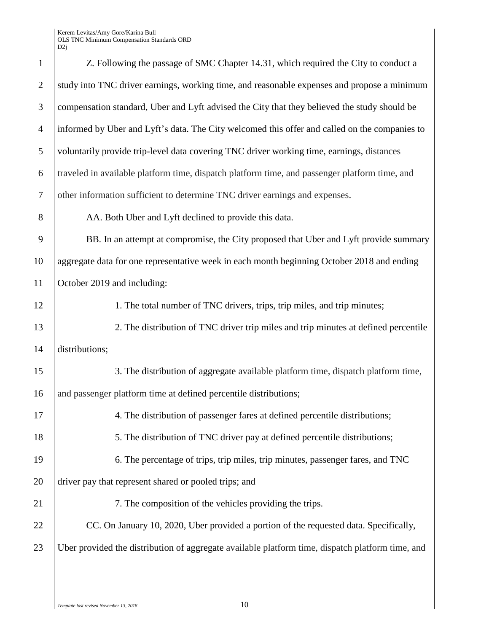| $\mathbf{1}$   | Z. Following the passage of SMC Chapter 14.31, which required the City to conduct a              |
|----------------|--------------------------------------------------------------------------------------------------|
| $\overline{2}$ | study into TNC driver earnings, working time, and reasonable expenses and propose a minimum      |
| 3              | compensation standard, Uber and Lyft advised the City that they believed the study should be     |
| $\overline{4}$ | informed by Uber and Lyft's data. The City welcomed this offer and called on the companies to    |
| 5              | voluntarily provide trip-level data covering TNC driver working time, earnings, distances        |
| 6              | traveled in available platform time, dispatch platform time, and passenger platform time, and    |
| $\overline{7}$ | other information sufficient to determine TNC driver earnings and expenses.                      |
| 8              | AA. Both Uber and Lyft declined to provide this data.                                            |
| 9              | BB. In an attempt at compromise, the City proposed that Uber and Lyft provide summary            |
| 10             | aggregate data for one representative week in each month beginning October 2018 and ending       |
| 11             | October 2019 and including:                                                                      |
| 12             | 1. The total number of TNC drivers, trips, trip miles, and trip minutes;                         |
| 13             | 2. The distribution of TNC driver trip miles and trip minutes at defined percentile              |
| 14             | distributions;                                                                                   |
| 15             | 3. The distribution of aggregate available platform time, dispatch platform time,                |
| 16             | and passenger platform time at defined percentile distributions;                                 |
| 17             | 4. The distribution of passenger fares at defined percentile distributions;                      |
| 18             | 5. The distribution of TNC driver pay at defined percentile distributions;                       |
| 19             | 6. The percentage of trips, trip miles, trip minutes, passenger fares, and TNC                   |
| 20             | driver pay that represent shared or pooled trips; and                                            |
| 21             | 7. The composition of the vehicles providing the trips.                                          |
| 22             | CC. On January 10, 2020, Uber provided a portion of the requested data. Specifically,            |
| 23             | Uber provided the distribution of aggregate available platform time, dispatch platform time, and |
|                |                                                                                                  |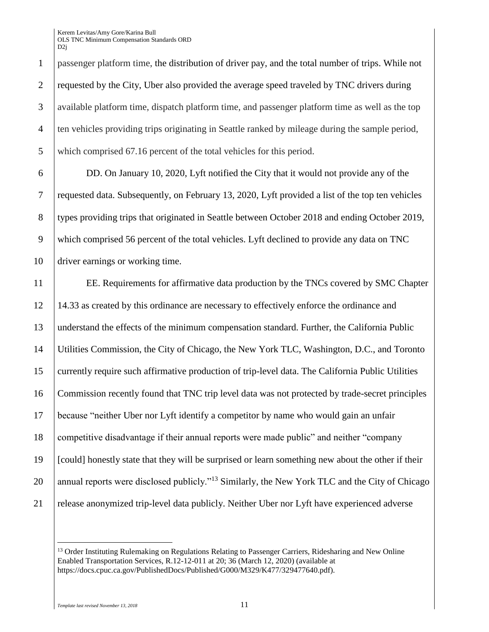passenger platform time, the distribution of driver pay, and the total number of trips. While not 2 requested by the City, Uber also provided the average speed traveled by TNC drivers during available platform time, dispatch platform time, and passenger platform time as well as the top ten vehicles providing trips originating in Seattle ranked by mileage during the sample period, which comprised 67.16 percent of the total vehicles for this period.

 DD. On January 10, 2020, Lyft notified the City that it would not provide any of the requested data. Subsequently, on February 13, 2020, Lyft provided a list of the top ten vehicles 8 types providing trips that originated in Seattle between October 2018 and ending October 2019, which comprised 56 percent of the total vehicles. Lyft declined to provide any data on TNC driver earnings or working time.

 EE. Requirements for affirmative data production by the TNCs covered by SMC Chapter 14.33 as created by this ordinance are necessary to effectively enforce the ordinance and understand the effects of the minimum compensation standard. Further, the California Public Utilities Commission, the City of Chicago, the New York TLC, Washington, D.C., and Toronto currently require such affirmative production of trip-level data. The California Public Utilities Commission recently found that TNC trip level data was not protected by trade-secret principles because "neither Uber nor Lyft identify a competitor by name who would gain an unfair competitive disadvantage if their annual reports were made public" and neither "company [could] honestly state that they will be surprised or learn something new about the other if their 20 annual reports were disclosed publicly."<sup>13</sup> Similarly, the New York TLC and the City of Chicago release anonymized trip-level data publicly. Neither Uber nor Lyft have experienced adverse

 $\overline{a}$ 

<sup>&</sup>lt;sup>13</sup> Order Instituting Rulemaking on Regulations Relating to Passenger Carriers, Ridesharing and New Online Enabled Transportation Services, R.12-12-011 at 20; 36 (March 12, 2020) (available at https://docs.cpuc.ca.gov/PublishedDocs/Published/G000/M329/K477/329477640.pdf).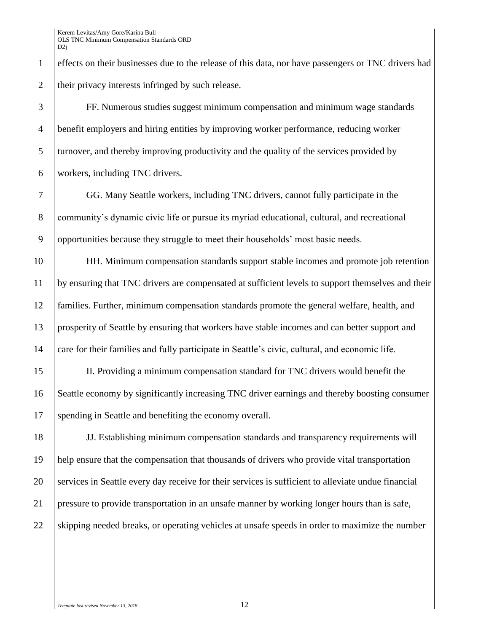effects on their businesses due to the release of this data, nor have passengers or TNC drivers had 2 their privacy interests infringed by such release.

 FF. Numerous studies suggest minimum compensation and minimum wage standards benefit employers and hiring entities by improving worker performance, reducing worker 5 turnover, and thereby improving productivity and the quality of the services provided by workers, including TNC drivers.

 GG. Many Seattle workers, including TNC drivers, cannot fully participate in the community's dynamic civic life or pursue its myriad educational, cultural, and recreational 9 opportunities because they struggle to meet their households' most basic needs.

 HH. Minimum compensation standards support stable incomes and promote job retention by ensuring that TNC drivers are compensated at sufficient levels to support themselves and their families. Further, minimum compensation standards promote the general welfare, health, and prosperity of Seattle by ensuring that workers have stable incomes and can better support and care for their families and fully participate in Seattle's civic, cultural, and economic life.

 II. Providing a minimum compensation standard for TNC drivers would benefit the Seattle economy by significantly increasing TNC driver earnings and thereby boosting consumer 17 spending in Seattle and benefiting the economy overall.

 JJ. Establishing minimum compensation standards and transparency requirements will help ensure that the compensation that thousands of drivers who provide vital transportation services in Seattle every day receive for their services is sufficient to alleviate undue financial pressure to provide transportation in an unsafe manner by working longer hours than is safe, 22 Skipping needed breaks, or operating vehicles at unsafe speeds in order to maximize the number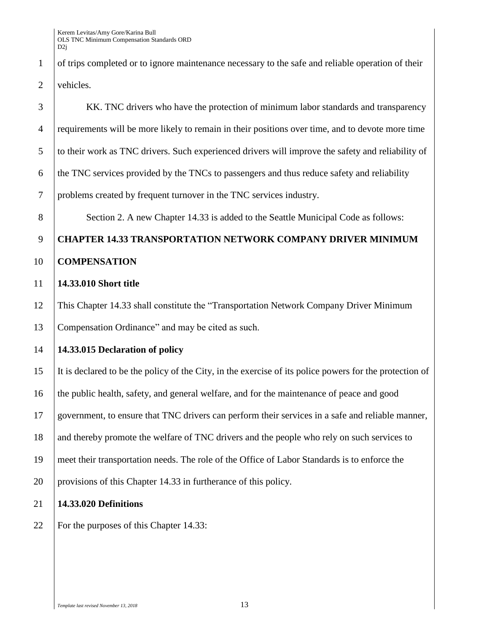of trips completed or to ignore maintenance necessary to the safe and reliable operation of their vehicles.

 KK. TNC drivers who have the protection of minimum labor standards and transparency requirements will be more likely to remain in their positions over time, and to devote more time to their work as TNC drivers. Such experienced drivers will improve the safety and reliability of the TNC services provided by the TNCs to passengers and thus reduce safety and reliability problems created by frequent turnover in the TNC services industry.

8 Section 2. A new Chapter 14.33 is added to the Seattle Municipal Code as follows:

# **CHAPTER 14.33 TRANSPORTATION NETWORK COMPANY DRIVER MINIMUM COMPENSATION**

## **14.33.010 Short title**

 This Chapter 14.33 shall constitute the "Transportation Network Company Driver Minimum Compensation Ordinance" and may be cited as such.

# **14.33.015 Declaration of policy**

 It is declared to be the policy of the City, in the exercise of its police powers for the protection of the public health, safety, and general welfare, and for the maintenance of peace and good government, to ensure that TNC drivers can perform their services in a safe and reliable manner, 18 and thereby promote the welfare of TNC drivers and the people who rely on such services to meet their transportation needs. The role of the Office of Labor Standards is to enforce the provisions of this Chapter 14.33 in furtherance of this policy.

## **14.33.020 Definitions**

22 For the purposes of this Chapter 14.33: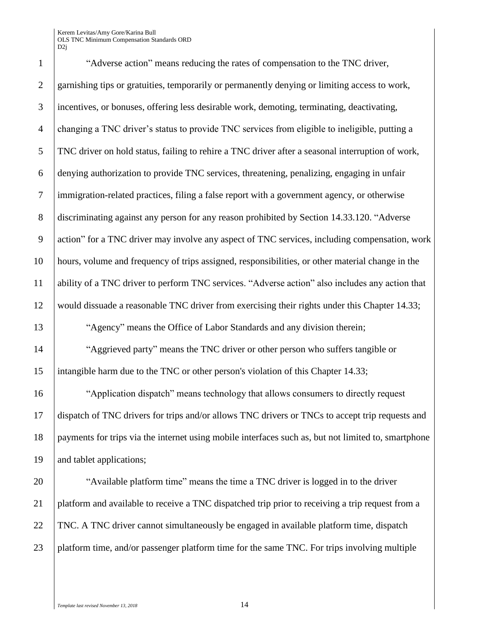1 "Adverse action" means reducing the rates of compensation to the TNC driver, garnishing tips or gratuities, temporarily or permanently denying or limiting access to work, incentives, or bonuses, offering less desirable work, demoting, terminating, deactivating, changing a TNC driver's status to provide TNC services from eligible to ineligible, putting a TNC driver on hold status, failing to rehire a TNC driver after a seasonal interruption of work, denying authorization to provide TNC services, threatening, penalizing, engaging in unfair immigration-related practices, filing a false report with a government agency, or otherwise discriminating against any person for any reason prohibited by Section 14.33.120. "Adverse action" for a TNC driver may involve any aspect of TNC services, including compensation, work hours, volume and frequency of trips assigned, responsibilities, or other material change in the ability of a TNC driver to perform TNC services. "Adverse action" also includes any action that would dissuade a reasonable TNC driver from exercising their rights under this Chapter 14.33; "Agency" means the Office of Labor Standards and any division therein;

14 | "Aggrieved party" means the TNC driver or other person who suffers tangible or intangible harm due to the TNC or other person's violation of this Chapter 14.33;

 "Application dispatch" means technology that allows consumers to directly request dispatch of TNC drivers for trips and/or allows TNC drivers or TNCs to accept trip requests and payments for trips via the internet using mobile interfaces such as, but not limited to, smartphone and tablet applications;

**The St** "Available platform time" means the time a TNC driver is logged in to the driver 21 platform and available to receive a TNC dispatched trip prior to receiving a trip request from a TNC. A TNC driver cannot simultaneously be engaged in available platform time, dispatch 23 platform time, and/or passenger platform time for the same TNC. For trips involving multiple

*Template last revised November 13, 2018* 14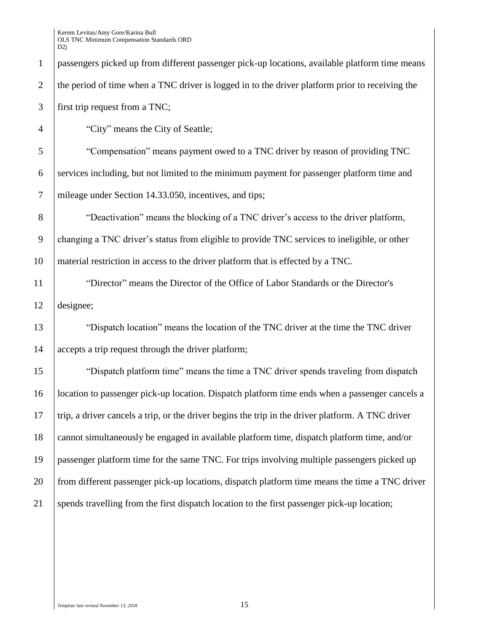passengers picked up from different passenger pick-up locations, available platform time means 2 the period of time when a TNC driver is logged in to the driver platform prior to receiving the first trip request from a TNC; 4 "City" means the City of Seattle; "Compensation" means payment owed to a TNC driver by reason of providing TNC services including, but not limited to the minimum payment for passenger platform time and mileage under Section 14.33.050, incentives, and tips; **S Weactivation** means the blocking of a TNC driver's access to the driver platform, changing a TNC driver's status from eligible to provide TNC services to ineligible, or other material restriction in access to the driver platform that is effected by a TNC. "Director" means the Director of the Office of Labor Standards or the Director's designee; "Dispatch location" means the location of the TNC driver at the time the TNC driver accepts a trip request through the driver platform; "Dispatch platform time" means the time a TNC driver spends traveling from dispatch location to passenger pick-up location. Dispatch platform time ends when a passenger cancels a trip, a driver cancels a trip, or the driver begins the trip in the driver platform. A TNC driver cannot simultaneously be engaged in available platform time, dispatch platform time, and/or passenger platform time for the same TNC. For trips involving multiple passengers picked up from different passenger pick-up locations, dispatch platform time means the time a TNC driver 21 spends travelling from the first dispatch location to the first passenger pick-up location;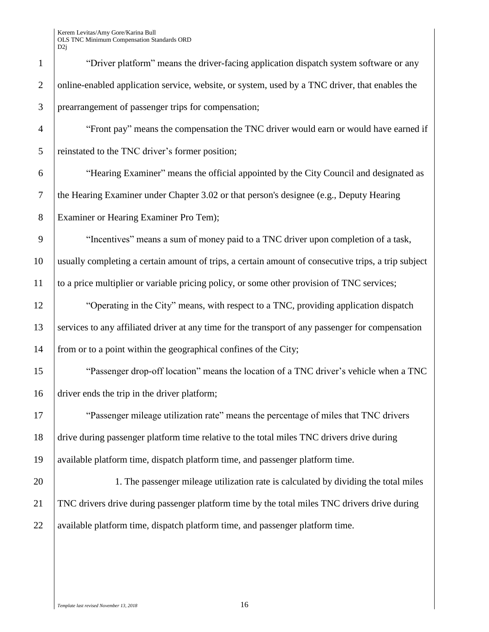|                | D2j                                                                                                 |
|----------------|-----------------------------------------------------------------------------------------------------|
| $\mathbf{1}$   | "Driver platform" means the driver-facing application dispatch system software or any               |
| 2              | online-enabled application service, website, or system, used by a TNC driver, that enables the      |
| 3              | prearrangement of passenger trips for compensation;                                                 |
| $\overline{4}$ | "Front pay" means the compensation the TNC driver would earn or would have earned if                |
| 5              | reinstated to the TNC driver's former position;                                                     |
| 6              | "Hearing Examiner" means the official appointed by the City Council and designated as               |
| $\tau$         | the Hearing Examiner under Chapter 3.02 or that person's designee (e.g., Deputy Hearing             |
| $8\phantom{.}$ | Examiner or Hearing Examiner Pro Tem);                                                              |
| 9              | "Incentives" means a sum of money paid to a TNC driver upon completion of a task,                   |
| 10             | usually completing a certain amount of trips, a certain amount of consecutive trips, a trip subject |
| 11             | to a price multiplier or variable pricing policy, or some other provision of TNC services;          |
| 12             | "Operating in the City" means, with respect to a TNC, providing application dispatch                |
| 13             | services to any affiliated driver at any time for the transport of any passenger for compensation   |
| 14             | from or to a point within the geographical confines of the City;                                    |
| 15             | "Passenger drop-off location" means the location of a TNC driver's vehicle when a TNC               |
| 16             | driver ends the trip in the driver platform;                                                        |
| 17             | "Passenger mileage utilization rate" means the percentage of miles that TNC drivers                 |
| 18             | drive during passenger platform time relative to the total miles TNC drivers drive during           |
| 19             | available platform time, dispatch platform time, and passenger platform time.                       |
| 20             | 1. The passenger mileage utilization rate is calculated by dividing the total miles                 |
| 21             | TNC drivers drive during passenger platform time by the total miles TNC drivers drive during        |
| 22             | available platform time, dispatch platform time, and passenger platform time.                       |
|                |                                                                                                     |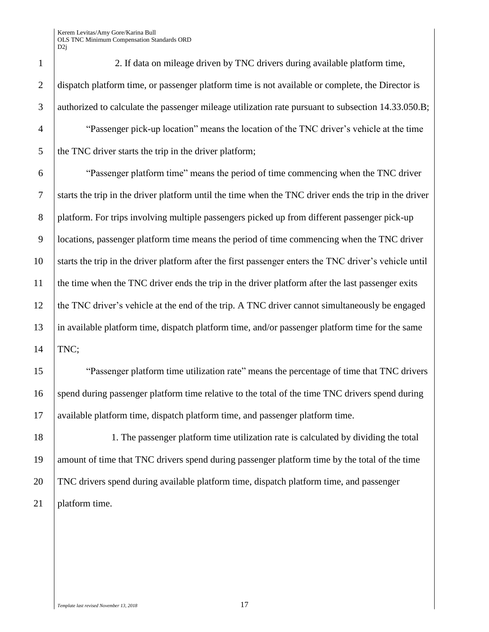2. If data on mileage driven by TNC drivers during available platform time, 2 dispatch platform time, or passenger platform time is not available or complete, the Director is authorized to calculate the passenger mileage utilization rate pursuant to subsection 14.33.050.B; <sup>4</sup> "Passenger pick-up location" means the location of the TNC driver's vehicle at the time the TNC driver starts the trip in the driver platform; "Passenger platform time" means the period of time commencing when the TNC driver starts the trip in the driver platform until the time when the TNC driver ends the trip in the driver 8 platform. For trips involving multiple passengers picked up from different passenger pick-up locations, passenger platform time means the period of time commencing when the TNC driver starts the trip in the driver platform after the first passenger enters the TNC driver's vehicle until 11 the time when the TNC driver ends the trip in the driver platform after the last passenger exits the TNC driver's vehicle at the end of the trip. A TNC driver cannot simultaneously be engaged in available platform time, dispatch platform time, and/or passenger platform time for the same TNC; "Passenger platform time utilization rate" means the percentage of time that TNC drivers spend during passenger platform time relative to the total of the time TNC drivers spend during

 1. The passenger platform time utilization rate is calculated by dividing the total amount of time that TNC drivers spend during passenger platform time by the total of the time TNC drivers spend during available platform time, dispatch platform time, and passenger 21 | platform time.

available platform time, dispatch platform time, and passenger platform time.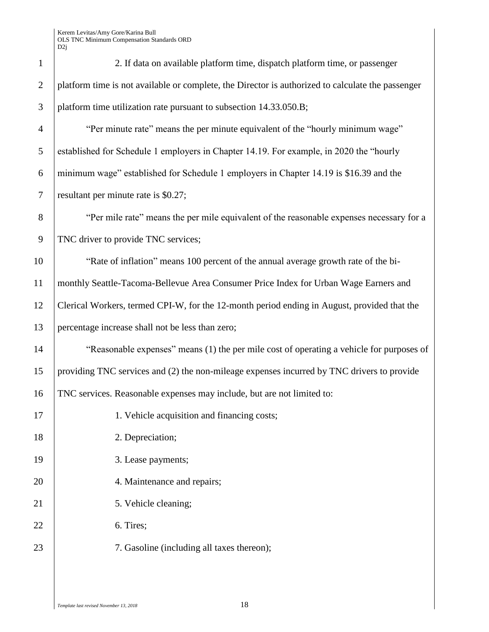| $\mathbf{1}$   | 2. If data on available platform time, dispatch platform time, or passenger                       |
|----------------|---------------------------------------------------------------------------------------------------|
| $\overline{2}$ | platform time is not available or complete, the Director is authorized to calculate the passenger |
| 3              | platform time utilization rate pursuant to subsection 14.33.050.B;                                |
| $\overline{4}$ | "Per minute rate" means the per minute equivalent of the "hourly minimum wage"                    |
| 5              | established for Schedule 1 employers in Chapter 14.19. For example, in 2020 the "hourly           |
| 6              | minimum wage" established for Schedule 1 employers in Chapter 14.19 is \$16.39 and the            |
| $\overline{7}$ | resultant per minute rate is \$0.27;                                                              |
| 8              | "Per mile rate" means the per mile equivalent of the reasonable expenses necessary for a          |
| 9              | TNC driver to provide TNC services;                                                               |
| 10             | "Rate of inflation" means 100 percent of the annual average growth rate of the bi-                |
| 11             | monthly Seattle-Tacoma-Bellevue Area Consumer Price Index for Urban Wage Earners and              |
| 12             | Clerical Workers, termed CPI-W, for the 12-month period ending in August, provided that the       |
| 13             | percentage increase shall not be less than zero;                                                  |
| 14             | "Reasonable expenses" means (1) the per mile cost of operating a vehicle for purposes of          |
| 15             | providing TNC services and (2) the non-mileage expenses incurred by TNC drivers to provide        |
| 16             | TNC services. Reasonable expenses may include, but are not limited to:                            |
| 17             | 1. Vehicle acquisition and financing costs;                                                       |
| 18             | 2. Depreciation;                                                                                  |
| 19             | 3. Lease payments;                                                                                |
| 20             | 4. Maintenance and repairs;                                                                       |
| 21             | 5. Vehicle cleaning;                                                                              |
| 22             | 6. Tires;                                                                                         |
| 23             | 7. Gasoline (including all taxes thereon);                                                        |
|                |                                                                                                   |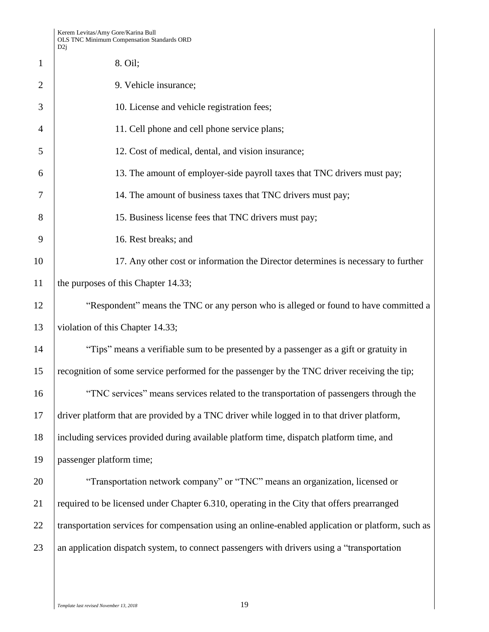| $\mathbf{1}$   | 8. Oil;                                                                                           |
|----------------|---------------------------------------------------------------------------------------------------|
| $\overline{2}$ | 9. Vehicle insurance;                                                                             |
| 3              | 10. License and vehicle registration fees;                                                        |
| 4              | 11. Cell phone and cell phone service plans;                                                      |
| 5              | 12. Cost of medical, dental, and vision insurance;                                                |
| 6              | 13. The amount of employer-side payroll taxes that TNC drivers must pay;                          |
| 7              | 14. The amount of business taxes that TNC drivers must pay;                                       |
| 8              | 15. Business license fees that TNC drivers must pay;                                              |
| 9              | 16. Rest breaks; and                                                                              |
| 10             | 17. Any other cost or information the Director determines is necessary to further                 |
| 11             | the purposes of this Chapter 14.33;                                                               |
| 12             | "Respondent" means the TNC or any person who is alleged or found to have committed a              |
| 13             | violation of this Chapter 14.33;                                                                  |
| 14             | "Tips" means a verifiable sum to be presented by a passenger as a gift or gratuity in             |
| 15             | recognition of some service performed for the passenger by the TNC driver receiving the tip;      |
| 16             | "TNC services" means services related to the transportation of passengers through the             |
| 17             | driver platform that are provided by a TNC driver while logged in to that driver platform,        |
| 18             | including services provided during available platform time, dispatch platform time, and           |
| 19             | passenger platform time;                                                                          |
| 20             | "Transportation network company" or "TNC" means an organization, licensed or                      |
| 21             | required to be licensed under Chapter 6.310, operating in the City that offers prearranged        |
| 22             | transportation services for compensation using an online-enabled application or platform, such as |
| 23             | an application dispatch system, to connect passengers with drivers using a "transportation        |
|                |                                                                                                   |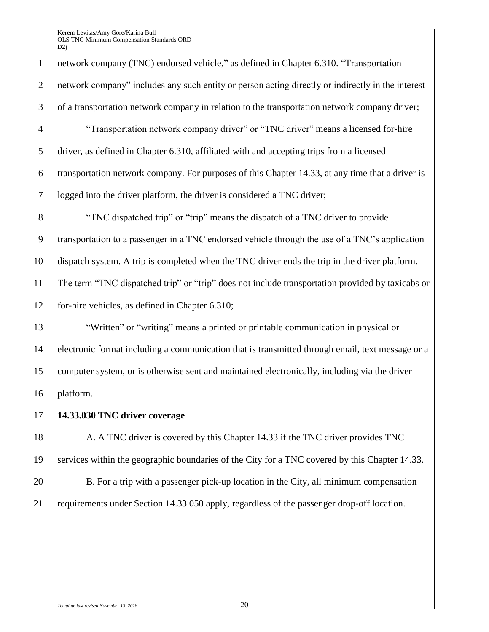network company (TNC) endorsed vehicle," as defined in Chapter 6.310. "Transportation network company" includes any such entity or person acting directly or indirectly in the interest 3 of a transportation network company in relation to the transportation network company driver; "Transportation network company driver" or "TNC driver" means a licensed for-hire driver, as defined in Chapter 6.310, affiliated with and accepting trips from a licensed transportation network company. For purposes of this Chapter 14.33, at any time that a driver is logged into the driver platform, the driver is considered a TNC driver; "TNC dispatched trip" or "trip" means the dispatch of a TNC driver to provide transportation to a passenger in a TNC endorsed vehicle through the use of a TNC's application dispatch system. A trip is completed when the TNC driver ends the trip in the driver platform. The term "TNC dispatched trip" or "trip" does not include transportation provided by taxicabs or for-hire vehicles, as defined in Chapter 6.310; "Written" or "writing" means a printed or printable communication in physical or electronic format including a communication that is transmitted through email, text message or a computer system, or is otherwise sent and maintained electronically, including via the driver platform. **14.33.030 TNC driver coverage** 18 A. A TNC driver is covered by this Chapter 14.33 if the TNC driver provides TNC services within the geographic boundaries of the City for a TNC covered by this Chapter 14.33.

20 B. For a trip with a passenger pick-up location in the City, all minimum compensation requirements under Section 14.33.050 apply, regardless of the passenger drop-off location.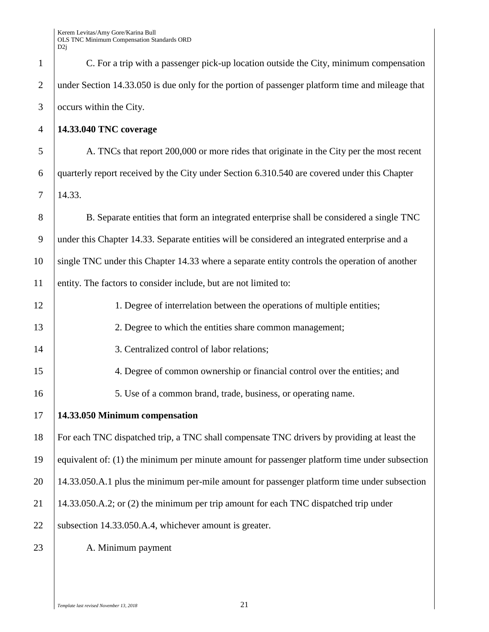| $\mathbf{1}$   | C. For a trip with a passenger pick-up location outside the City, minimum compensation          |
|----------------|-------------------------------------------------------------------------------------------------|
| $\overline{2}$ | under Section 14.33.050 is due only for the portion of passenger platform time and mileage that |
| 3              | occurs within the City.                                                                         |
| $\overline{4}$ | 14.33.040 TNC coverage                                                                          |
| 5              | A. TNCs that report 200,000 or more rides that originate in the City per the most recent        |
| 6              | quarterly report received by the City under Section 6.310.540 are covered under this Chapter    |
| 7              | 14.33.                                                                                          |
| 8              | B. Separate entities that form an integrated enterprise shall be considered a single TNC        |
| 9              | under this Chapter 14.33. Separate entities will be considered an integrated enterprise and a   |
| 10             | single TNC under this Chapter 14.33 where a separate entity controls the operation of another   |
| 11             | entity. The factors to consider include, but are not limited to:                                |
| 12             | 1. Degree of interrelation between the operations of multiple entities;                         |
| 13             | 2. Degree to which the entities share common management;                                        |
| 14             | 3. Centralized control of labor relations;                                                      |
| 15             | 4. Degree of common ownership or financial control over the entities; and                       |
| 16             | 5. Use of a common brand, trade, business, or operating name.                                   |
| 17             | 14.33.050 Minimum compensation                                                                  |
| 18             | For each TNC dispatched trip, a TNC shall compensate TNC drivers by providing at least the      |
| 19             | equivalent of: (1) the minimum per minute amount for passenger platform time under subsection   |
| 20             | 14.33.050.A.1 plus the minimum per-mile amount for passenger platform time under subsection     |
| 21             | 14.33.050.A.2; or (2) the minimum per trip amount for each TNC dispatched trip under            |
| 22             | subsection 14.33.050.A.4, whichever amount is greater.                                          |
| 23             | A. Minimum payment                                                                              |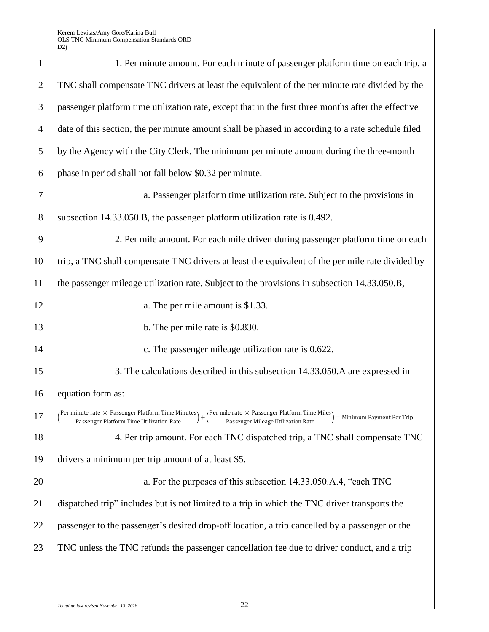| $\mathbf{1}$   | 1. Per minute amount. For each minute of passenger platform time on each trip, a                                                                                                                                                                                                                                                        |
|----------------|-----------------------------------------------------------------------------------------------------------------------------------------------------------------------------------------------------------------------------------------------------------------------------------------------------------------------------------------|
| $\overline{2}$ | TNC shall compensate TNC drivers at least the equivalent of the per minute rate divided by the                                                                                                                                                                                                                                          |
| 3              | passenger platform time utilization rate, except that in the first three months after the effective                                                                                                                                                                                                                                     |
| $\overline{4}$ | date of this section, the per minute amount shall be phased in according to a rate schedule filed                                                                                                                                                                                                                                       |
| 5              | by the Agency with the City Clerk. The minimum per minute amount during the three-month                                                                                                                                                                                                                                                 |
| 6              | phase in period shall not fall below \$0.32 per minute.                                                                                                                                                                                                                                                                                 |
| 7              | a. Passenger platform time utilization rate. Subject to the provisions in                                                                                                                                                                                                                                                               |
| 8              | subsection 14.33.050.B, the passenger platform utilization rate is 0.492.                                                                                                                                                                                                                                                               |
| 9              | 2. Per mile amount. For each mile driven during passenger platform time on each                                                                                                                                                                                                                                                         |
| 10             | trip, a TNC shall compensate TNC drivers at least the equivalent of the per mile rate divided by                                                                                                                                                                                                                                        |
| 11             | the passenger mileage utilization rate. Subject to the provisions in subsection 14.33.050.B,                                                                                                                                                                                                                                            |
| 12             | a. The per mile amount is \$1.33.                                                                                                                                                                                                                                                                                                       |
| 13             | b. The per mile rate is \$0.830.                                                                                                                                                                                                                                                                                                        |
| 14             | c. The passenger mileage utilization rate is 0.622.                                                                                                                                                                                                                                                                                     |
| 15             | 3. The calculations described in this subsection 14.33.050. A are expressed in                                                                                                                                                                                                                                                          |
| 16             | equation form as:                                                                                                                                                                                                                                                                                                                       |
| 17             | Per minute rate $\times$ Passenger Platform Time Minutes)<br>Passenger Platform Time Utilization Rate<br>$+\left(\!\frac{\mathrm{Per\ mile\ rate\ \times\ \text {Passenger \textit{Platform Time \textit{Miles}}}}{\text{Passenger \textit{Mileage \textit{Utilization \textit{Rate}}}}}\!\right)$<br>= Minimum Payment Per Trip<br>$+$ |
| 18             | 4. Per trip amount. For each TNC dispatched trip, a TNC shall compensate TNC                                                                                                                                                                                                                                                            |
| 19             | drivers a minimum per trip amount of at least \$5.                                                                                                                                                                                                                                                                                      |
| 20             | a. For the purposes of this subsection 14.33.050.A.4, "each TNC                                                                                                                                                                                                                                                                         |
| 21             | dispatched trip" includes but is not limited to a trip in which the TNC driver transports the                                                                                                                                                                                                                                           |
| 22             | passenger to the passenger's desired drop-off location, a trip cancelled by a passenger or the                                                                                                                                                                                                                                          |
| 23             | TNC unless the TNC refunds the passenger cancellation fee due to driver conduct, and a trip                                                                                                                                                                                                                                             |
|                |                                                                                                                                                                                                                                                                                                                                         |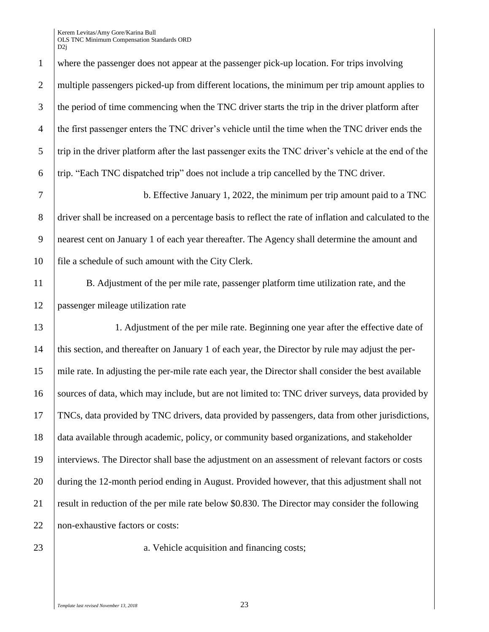where the passenger does not appear at the passenger pick-up location. For trips involving 2 multiple passengers picked-up from different locations, the minimum per trip amount applies to the period of time commencing when the TNC driver starts the trip in the driver platform after the first passenger enters the TNC driver's vehicle until the time when the TNC driver ends the trip in the driver platform after the last passenger exits the TNC driver's vehicle at the end of the trip. "Each TNC dispatched trip" does not include a trip cancelled by the TNC driver.

 b. Effective January 1, 2022, the minimum per trip amount paid to a TNC driver shall be increased on a percentage basis to reflect the rate of inflation and calculated to the nearest cent on January 1 of each year thereafter. The Agency shall determine the amount and file a schedule of such amount with the City Clerk.

 B. Adjustment of the per mile rate, passenger platform time utilization rate, and the passenger mileage utilization rate

 1. Adjustment of the per mile rate. Beginning one year after the effective date of this section, and thereafter on January 1 of each year, the Director by rule may adjust the per- mile rate. In adjusting the per-mile rate each year, the Director shall consider the best available 16 Sources of data, which may include, but are not limited to: TNC driver surveys, data provided by TNCs, data provided by TNC drivers, data provided by passengers, data from other jurisdictions, data available through academic, policy, or community based organizations, and stakeholder interviews. The Director shall base the adjustment on an assessment of relevant factors or costs during the 12-month period ending in August. Provided however, that this adjustment shall not 21 result in reduction of the per mile rate below \$0.830. The Director may consider the following 22 | non-exhaustive factors or costs:

23 a. Vehicle acquisition and financing costs;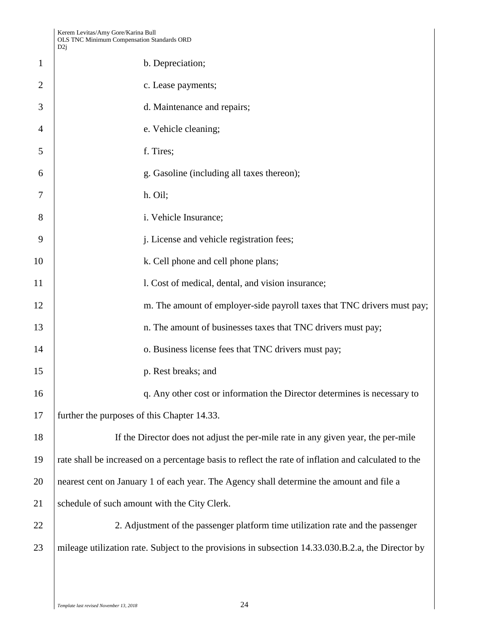|                | D2j                                                                                                  |
|----------------|------------------------------------------------------------------------------------------------------|
| $\mathbf{1}$   | b. Depreciation;                                                                                     |
| $\overline{2}$ | c. Lease payments;                                                                                   |
| 3              | d. Maintenance and repairs;                                                                          |
| 4              | e. Vehicle cleaning;                                                                                 |
| 5              | f. Tires;                                                                                            |
| 6              | g. Gasoline (including all taxes thereon);                                                           |
| 7              | h. Oil;                                                                                              |
| 8              | i. Vehicle Insurance;                                                                                |
| 9              | j. License and vehicle registration fees;                                                            |
| 10             | k. Cell phone and cell phone plans;                                                                  |
| 11             | 1. Cost of medical, dental, and vision insurance;                                                    |
| 12             | m. The amount of employer-side payroll taxes that TNC drivers must pay;                              |
| 13             | n. The amount of businesses taxes that TNC drivers must pay;                                         |
| 14             | o. Business license fees that TNC drivers must pay;                                                  |
| 15             | p. Rest breaks; and                                                                                  |
| 16             | q. Any other cost or information the Director determines is necessary to                             |
| 17             | further the purposes of this Chapter 14.33.                                                          |
| 18             | If the Director does not adjust the per-mile rate in any given year, the per-mile                    |
| 19             | rate shall be increased on a percentage basis to reflect the rate of inflation and calculated to the |
| 20             | nearest cent on January 1 of each year. The Agency shall determine the amount and file a             |
| 21             | schedule of such amount with the City Clerk.                                                         |
| 22             | 2. Adjustment of the passenger platform time utilization rate and the passenger                      |
| 23             | mileage utilization rate. Subject to the provisions in subsection 14.33.030.B.2.a, the Director by   |
|                |                                                                                                      |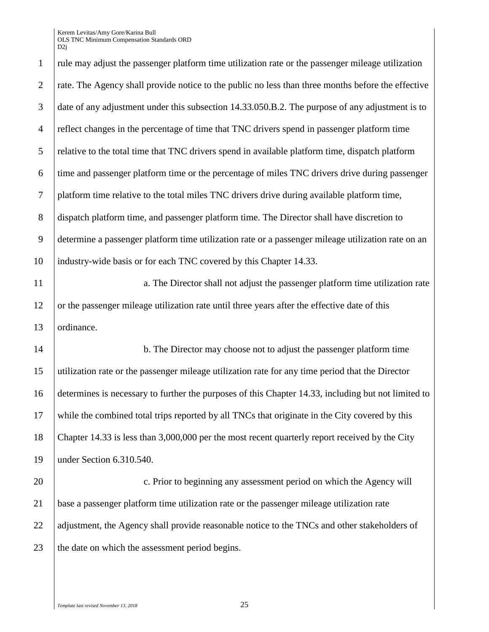D<sub>2i</sub> rule may adjust the passenger platform time utilization rate or the passenger mileage utilization rate. The Agency shall provide notice to the public no less than three months before the effective date of any adjustment under this subsection 14.33.050.B.2. The purpose of any adjustment is to reflect changes in the percentage of time that TNC drivers spend in passenger platform time relative to the total time that TNC drivers spend in available platform time, dispatch platform time and passenger platform time or the percentage of miles TNC drivers drive during passenger platform time relative to the total miles TNC drivers drive during available platform time, dispatch platform time, and passenger platform time. The Director shall have discretion to determine a passenger platform time utilization rate or a passenger mileage utilization rate on an 10 | industry-wide basis or for each TNC covered by this Chapter 14.33. 13 ordinance.

11 a. The Director shall not adjust the passenger platform time utilization rate 12 or the passenger mileage utilization rate until three years after the effective date of this

14 b. The Director may choose not to adjust the passenger platform time utilization rate or the passenger mileage utilization rate for any time period that the Director determines is necessary to further the purposes of this Chapter 14.33, including but not limited to while the combined total trips reported by all TNCs that originate in the City covered by this Chapter 14.33 is less than 3,000,000 per the most recent quarterly report received by the City under Section 6.310.540.

20 **c.** Prior to beginning any assessment period on which the Agency will 21 base a passenger platform time utilization rate or the passenger mileage utilization rate 22 adjustment, the Agency shall provide reasonable notice to the TNCs and other stakeholders of 23 the date on which the assessment period begins.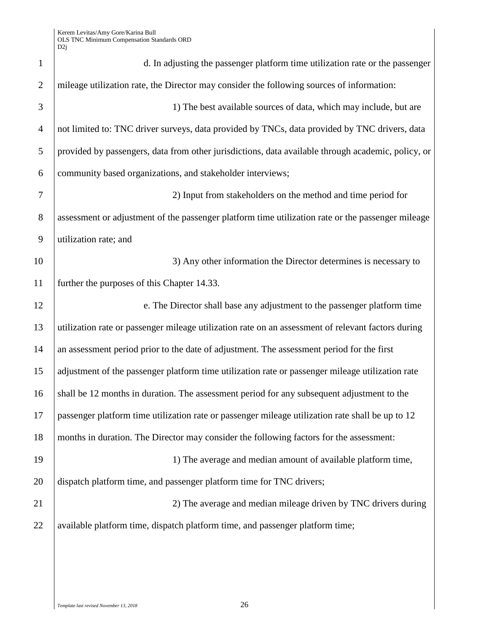| $\mathbf{1}$   | d. In adjusting the passenger platform time utilization rate or the passenger                      |
|----------------|----------------------------------------------------------------------------------------------------|
| $\overline{2}$ | mileage utilization rate, the Director may consider the following sources of information:          |
| 3              | 1) The best available sources of data, which may include, but are                                  |
| $\overline{4}$ | not limited to: TNC driver surveys, data provided by TNCs, data provided by TNC drivers, data      |
| 5              | provided by passengers, data from other jurisdictions, data available through academic, policy, or |
| 6              | community based organizations, and stakeholder interviews;                                         |
| 7              | 2) Input from stakeholders on the method and time period for                                       |
| $8\phantom{.}$ | assessment or adjustment of the passenger platform time utilization rate or the passenger mileage  |
| 9              | utilization rate; and                                                                              |
| 10             | 3) Any other information the Director determines is necessary to                                   |
| 11             | further the purposes of this Chapter 14.33.                                                        |
| 12             | e. The Director shall base any adjustment to the passenger platform time                           |
| 13             | utilization rate or passenger mileage utilization rate on an assessment of relevant factors during |
| 14             | an assessment period prior to the date of adjustment. The assessment period for the first          |
| 15             | adjustment of the passenger platform time utilization rate or passenger mileage utilization rate   |
| 16             | shall be 12 months in duration. The assessment period for any subsequent adjustment to the         |
| 17             | passenger platform time utilization rate or passenger mileage utilization rate shall be up to 12   |
| 18             | months in duration. The Director may consider the following factors for the assessment:            |
| 19             | 1) The average and median amount of available platform time,                                       |
| 20             | dispatch platform time, and passenger platform time for TNC drivers;                               |
| 21             | 2) The average and median mileage driven by TNC drivers during                                     |
| 22             | available platform time, dispatch platform time, and passenger platform time;                      |
|                |                                                                                                    |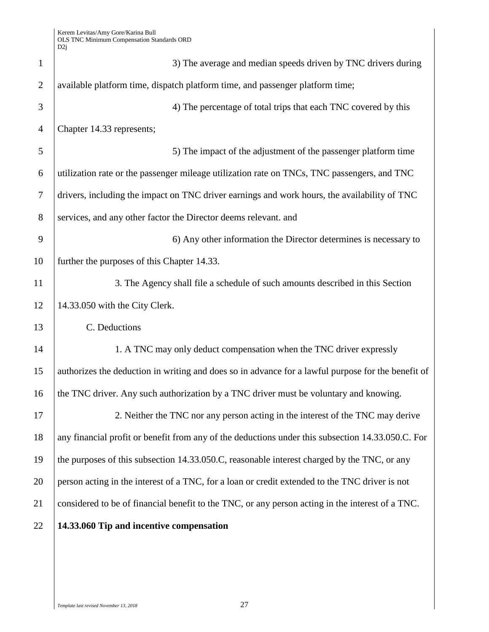| $\mathbf{1}$   | 3) The average and median speeds driven by TNC drivers during                                      |
|----------------|----------------------------------------------------------------------------------------------------|
| $\overline{2}$ | available platform time, dispatch platform time, and passenger platform time;                      |
| 3              | 4) The percentage of total trips that each TNC covered by this                                     |
| $\overline{4}$ | Chapter 14.33 represents;                                                                          |
| 5              | 5) The impact of the adjustment of the passenger platform time                                     |
| 6              | utilization rate or the passenger mileage utilization rate on TNCs, TNC passengers, and TNC        |
| $\tau$         | drivers, including the impact on TNC driver earnings and work hours, the availability of TNC       |
| 8              | services, and any other factor the Director deems relevant. and                                    |
| 9              | 6) Any other information the Director determines is necessary to                                   |
| 10             | further the purposes of this Chapter 14.33.                                                        |
| 11             | 3. The Agency shall file a schedule of such amounts described in this Section                      |
| 12             | 14.33.050 with the City Clerk.                                                                     |
| 13             | C. Deductions                                                                                      |
| 14             | 1. A TNC may only deduct compensation when the TNC driver expressly                                |
| 15             | authorizes the deduction in writing and does so in advance for a lawful purpose for the benefit of |
| 16             | the TNC driver. Any such authorization by a TNC driver must be voluntary and knowing.              |
| 17             | 2. Neither the TNC nor any person acting in the interest of the TNC may derive                     |
| 18             | any financial profit or benefit from any of the deductions under this subsection 14.33.050.C. For  |
| 19             | the purposes of this subsection 14.33.050.C, reasonable interest charged by the TNC, or any        |
| 20             | person acting in the interest of a TNC, for a loan or credit extended to the TNC driver is not     |
| 21             | considered to be of financial benefit to the TNC, or any person acting in the interest of a TNC.   |
| 22             | 14.33.060 Tip and incentive compensation                                                           |
|                |                                                                                                    |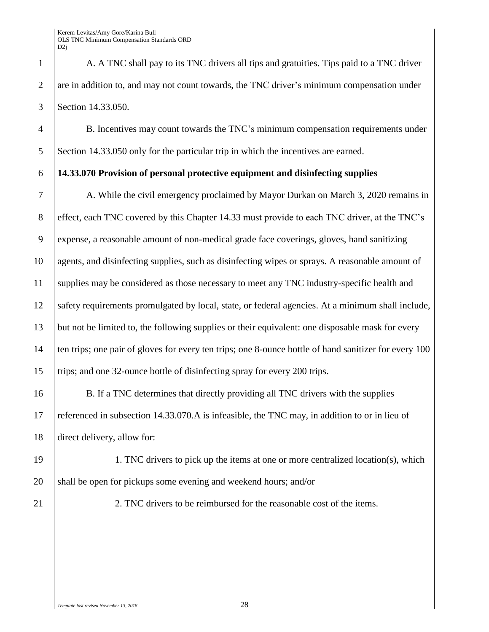1 A. A TNC shall pay to its TNC drivers all tips and gratuities. Tips paid to a TNC driver 2 are in addition to, and may not count towards, the TNC driver's minimum compensation under 3 Section 14.33.050.

4 B. Incentives may count towards the TNC's minimum compensation requirements under 5 Section 14.33.050 only for the particular trip in which the incentives are earned.

### 6 **14.33.070 Provision of personal protective equipment and disinfecting supplies**

 A. While the civil emergency proclaimed by Mayor Durkan on March 3, 2020 remains in 8 effect, each TNC covered by this Chapter 14.33 must provide to each TNC driver, at the TNC's expense, a reasonable amount of non-medical grade face coverings, gloves, hand sanitizing agents, and disinfecting supplies, such as disinfecting wipes or sprays. A reasonable amount of 11 supplies may be considered as those necessary to meet any TNC industry-specific health and safety requirements promulgated by local, state, or federal agencies. At a minimum shall include, but not be limited to, the following supplies or their equivalent: one disposable mask for every 14 ten trips; one pair of gloves for every ten trips; one 8-ounce bottle of hand sanitizer for every 100 trips; and one 32-ounce bottle of disinfecting spray for every 200 trips.

16 B. If a TNC determines that directly providing all TNC drivers with the supplies 17 referenced in subsection 14.33.070.A is infeasible, the TNC may, in addition to or in lieu of 18 direct delivery, allow for:

19 1. TNC drivers to pick up the items at one or more centralized location(s), which  $20$  shall be open for pickups some evening and weekend hours; and/or

21 21 2. TNC drivers to be reimbursed for the reasonable cost of the items.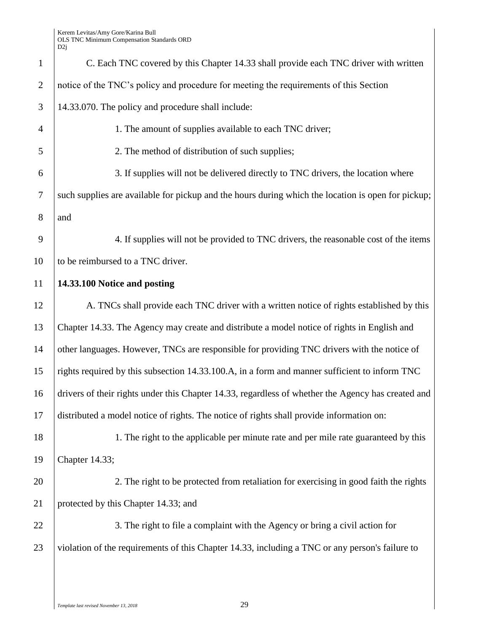| $\mathbf{1}$   | C. Each TNC covered by this Chapter 14.33 shall provide each TNC driver with written               |
|----------------|----------------------------------------------------------------------------------------------------|
| $\mathbf{2}$   | notice of the TNC's policy and procedure for meeting the requirements of this Section              |
| 3              | 14.33.070. The policy and procedure shall include:                                                 |
| $\overline{4}$ | 1. The amount of supplies available to each TNC driver;                                            |
| 5              | 2. The method of distribution of such supplies;                                                    |
| 6              | 3. If supplies will not be delivered directly to TNC drivers, the location where                   |
| $\tau$         | such supplies are available for pickup and the hours during which the location is open for pickup; |
| 8              | and                                                                                                |
| 9              | 4. If supplies will not be provided to TNC drivers, the reasonable cost of the items               |
| 10             | to be reimbursed to a TNC driver.                                                                  |
| 11             | 14.33.100 Notice and posting                                                                       |
| 12             | A. TNCs shall provide each TNC driver with a written notice of rights established by this          |
| 13             | Chapter 14.33. The Agency may create and distribute a model notice of rights in English and        |
| 14             | other languages. However, TNCs are responsible for providing TNC drivers with the notice of        |
| 15             | rights required by this subsection 14.33.100.A, in a form and manner sufficient to inform TNC      |
| 16             | drivers of their rights under this Chapter 14.33, regardless of whether the Agency has created and |
| 17             | distributed a model notice of rights. The notice of rights shall provide information on:           |
| 18             | 1. The right to the applicable per minute rate and per mile rate guaranteed by this                |
| 19             | Chapter 14.33;                                                                                     |
| 20             | 2. The right to be protected from retaliation for exercising in good faith the rights              |
| 21             | protected by this Chapter 14.33; and                                                               |
| 22             | 3. The right to file a complaint with the Agency or bring a civil action for                       |
| 23             | violation of the requirements of this Chapter 14.33, including a TNC or any person's failure to    |
|                |                                                                                                    |
|                |                                                                                                    |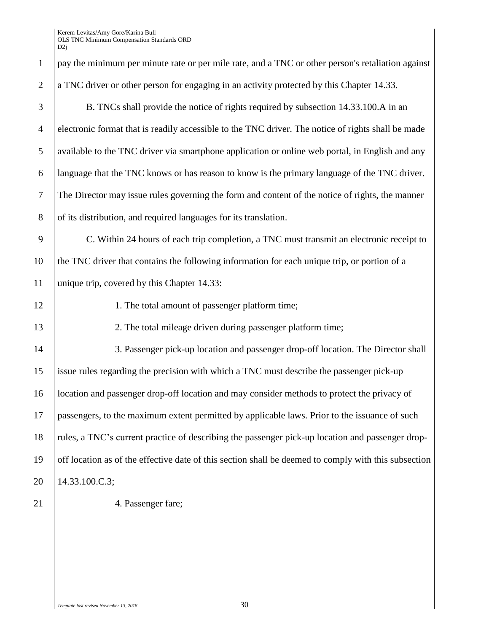|                | ∣∠ע                                                                                                  |
|----------------|------------------------------------------------------------------------------------------------------|
| $\mathbf{1}$   | pay the minimum per minute rate or per mile rate, and a TNC or other person's retaliation against    |
| $\overline{2}$ | a TNC driver or other person for engaging in an activity protected by this Chapter 14.33.            |
| 3              | B. TNCs shall provide the notice of rights required by subsection 14.33.100.A in an                  |
| $\overline{4}$ | electronic format that is readily accessible to the TNC driver. The notice of rights shall be made   |
| 5              | available to the TNC driver via smartphone application or online web portal, in English and any      |
| 6              | language that the TNC knows or has reason to know is the primary language of the TNC driver.         |
| $\overline{7}$ | The Director may issue rules governing the form and content of the notice of rights, the manner      |
| $8\phantom{.}$ | of its distribution, and required languages for its translation.                                     |
| 9              | C. Within 24 hours of each trip completion, a TNC must transmit an electronic receipt to             |
| 10             | the TNC driver that contains the following information for each unique trip, or portion of a         |
| 11             | unique trip, covered by this Chapter 14.33:                                                          |
| 12             | 1. The total amount of passenger platform time;                                                      |
| 13             | 2. The total mileage driven during passenger platform time;                                          |
| 14             | 3. Passenger pick-up location and passenger drop-off location. The Director shall                    |
| 15             | issue rules regarding the precision with which a TNC must describe the passenger pick-up             |
| 16             | location and passenger drop-off location and may consider methods to protect the privacy of          |
| 17             | passengers, to the maximum extent permitted by applicable laws. Prior to the issuance of such        |
| 18             | rules, a TNC's current practice of describing the passenger pick-up location and passenger drop-     |
| 19             | off location as of the effective date of this section shall be deemed to comply with this subsection |
| 20             | 14.33.100.C.3;                                                                                       |
| 21             | 4. Passenger fare;                                                                                   |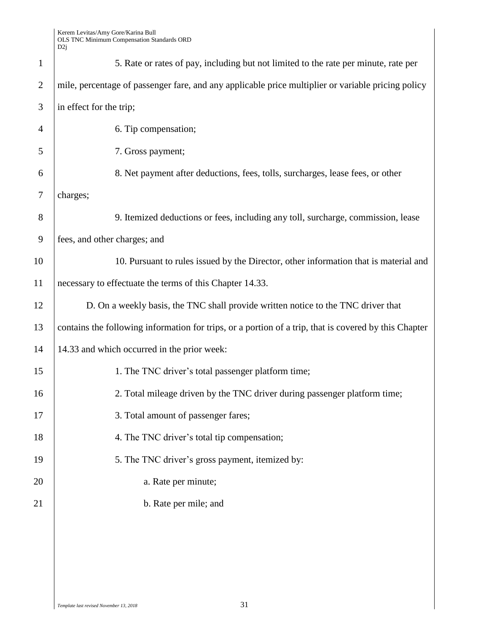| $\mathbf{1}$   | 5. Rate or rates of pay, including but not limited to the rate per minute, rate per                   |
|----------------|-------------------------------------------------------------------------------------------------------|
| $\overline{2}$ | mile, percentage of passenger fare, and any applicable price multiplier or variable pricing policy    |
| 3              | in effect for the trip;                                                                               |
| $\overline{4}$ | 6. Tip compensation;                                                                                  |
| 5              | 7. Gross payment;                                                                                     |
| 6              | 8. Net payment after deductions, fees, tolls, surcharges, lease fees, or other                        |
| 7              | charges;                                                                                              |
| 8              | 9. Itemized deductions or fees, including any toll, surcharge, commission, lease                      |
| 9              | fees, and other charges; and                                                                          |
| 10             | 10. Pursuant to rules issued by the Director, other information that is material and                  |
| 11             | necessary to effectuate the terms of this Chapter 14.33.                                              |
| 12             | D. On a weekly basis, the TNC shall provide written notice to the TNC driver that                     |
| 13             | contains the following information for trips, or a portion of a trip, that is covered by this Chapter |
| 14             | 14.33 and which occurred in the prior week:                                                           |
| 15             | 1. The TNC driver's total passenger platform time;                                                    |
| 16             | 2. Total mileage driven by the TNC driver during passenger platform time;                             |
| 17             | 3. Total amount of passenger fares;                                                                   |
| 18             | 4. The TNC driver's total tip compensation;                                                           |
| 19             | 5. The TNC driver's gross payment, itemized by:                                                       |
| 20             | a. Rate per minute;                                                                                   |
| 21             | b. Rate per mile; and                                                                                 |
|                |                                                                                                       |
|                |                                                                                                       |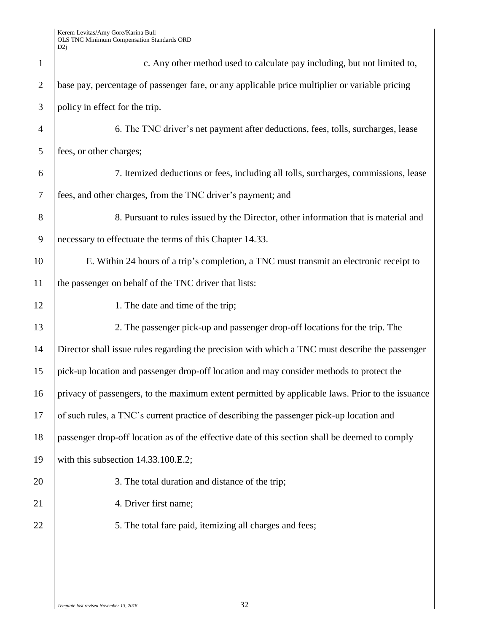| $\mathbf{1}$   | c. Any other method used to calculate pay including, but not limited to,                         |
|----------------|--------------------------------------------------------------------------------------------------|
| $\mathbf{2}$   | base pay, percentage of passenger fare, or any applicable price multiplier or variable pricing   |
| 3              | policy in effect for the trip.                                                                   |
| $\overline{4}$ | 6. The TNC driver's net payment after deductions, fees, tolls, surcharges, lease                 |
| 5              | fees, or other charges;                                                                          |
| 6              | 7. Itemized deductions or fees, including all tolls, surcharges, commissions, lease              |
| 7              | fees, and other charges, from the TNC driver's payment; and                                      |
| 8              | 8. Pursuant to rules issued by the Director, other information that is material and              |
| 9              | necessary to effectuate the terms of this Chapter 14.33.                                         |
| 10             | E. Within 24 hours of a trip's completion, a TNC must transmit an electronic receipt to          |
| 11             | the passenger on behalf of the TNC driver that lists:                                            |
| 12             | 1. The date and time of the trip;                                                                |
| 13             | 2. The passenger pick-up and passenger drop-off locations for the trip. The                      |
| 14             | Director shall issue rules regarding the precision with which a TNC must describe the passenger  |
| 15             | pick-up location and passenger drop-off location and may consider methods to protect the         |
| 16             | privacy of passengers, to the maximum extent permitted by applicable laws. Prior to the issuance |
| 17             | of such rules, a TNC's current practice of describing the passenger pick-up location and         |
| 18             | passenger drop-off location as of the effective date of this section shall be deemed to comply   |
| 19             | with this subsection 14.33.100.E.2;                                                              |
| 20             | 3. The total duration and distance of the trip;                                                  |
| 21             | 4. Driver first name;                                                                            |
| 22             | 5. The total fare paid, itemizing all charges and fees;                                          |
|                |                                                                                                  |
|                |                                                                                                  |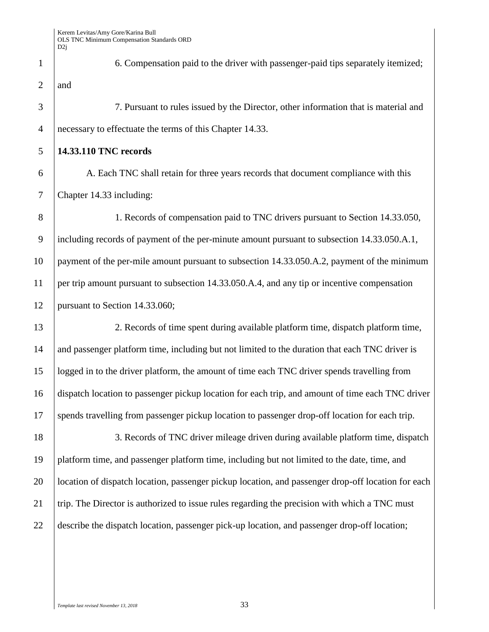6. Compensation paid to the driver with passenger-paid tips separately itemized; 2  $|$  and 7. Pursuant to rules issued by the Director, other information that is material and

necessary to effectuate the terms of this Chapter 14.33.

**14.33.110 TNC records**

 A. Each TNC shall retain for three years records that document compliance with this Chapter 14.33 including:

 1. Records of compensation paid to TNC drivers pursuant to Section 14.33.050, including records of payment of the per-minute amount pursuant to subsection 14.33.050.A.1, payment of the per-mile amount pursuant to subsection 14.33.050.A.2, payment of the minimum per trip amount pursuant to subsection 14.33.050.A.4, and any tip or incentive compensation 12 | pursuant to Section 14.33.060;

 2. Records of time spent during available platform time, dispatch platform time, 14 and passenger platform time, including but not limited to the duration that each TNC driver is logged in to the driver platform, the amount of time each TNC driver spends travelling from dispatch location to passenger pickup location for each trip, and amount of time each TNC driver spends travelling from passenger pickup location to passenger drop-off location for each trip.

18 3. Records of TNC driver mileage driven during available platform time, dispatch platform time, and passenger platform time, including but not limited to the date, time, and 20 location of dispatch location, passenger pickup location, and passenger drop-off location for each 21 trip. The Director is authorized to issue rules regarding the precision with which a TNC must describe the dispatch location, passenger pick-up location, and passenger drop-off location;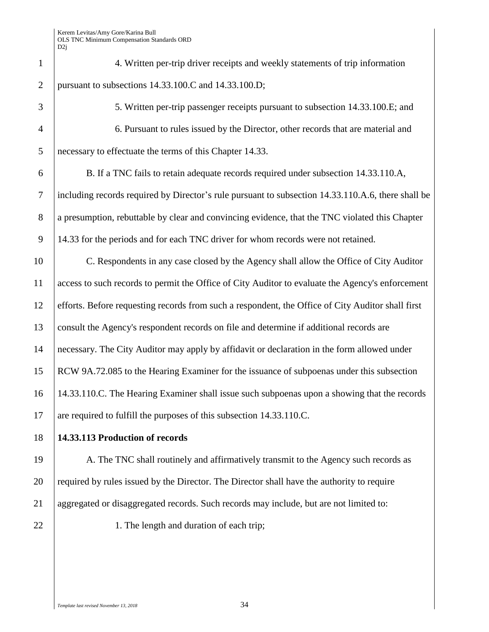| $\mathbf{1}$   | 4. Written per-trip driver receipts and weekly statements of trip information                      |
|----------------|----------------------------------------------------------------------------------------------------|
| $\overline{2}$ | pursuant to subsections 14.33.100.C and 14.33.100.D;                                               |
| 3              | 5. Written per-trip passenger receipts pursuant to subsection 14.33.100.E; and                     |
| $\overline{4}$ | 6. Pursuant to rules issued by the Director, other records that are material and                   |
| 5              | necessary to effectuate the terms of this Chapter 14.33.                                           |
| 6              | B. If a TNC fails to retain adequate records required under subsection 14.33.110.A,                |
| $\tau$         | including records required by Director's rule pursuant to subsection 14.33.110.A.6, there shall be |
| 8              | a presumption, rebuttable by clear and convincing evidence, that the TNC violated this Chapter     |
| 9              | 14.33 for the periods and for each TNC driver for whom records were not retained.                  |
| 10             | C. Respondents in any case closed by the Agency shall allow the Office of City Auditor             |
| 11             | access to such records to permit the Office of City Auditor to evaluate the Agency's enforcement   |
| 12             | efforts. Before requesting records from such a respondent, the Office of City Auditor shall first  |
| 13             | consult the Agency's respondent records on file and determine if additional records are            |
| 14             | necessary. The City Auditor may apply by affidavit or declaration in the form allowed under        |
| 15             | RCW 9A.72.085 to the Hearing Examiner for the issuance of subpoenas under this subsection          |
| 16             | 14.33.110.C. The Hearing Examiner shall issue such subpoenas upon a showing that the records       |
| 17             | are required to fulfill the purposes of this subsection 14.33.110.C.                               |
| 18             | 14.33.113 Production of records                                                                    |
| 19             | A. The TNC shall routinely and affirmatively transmit to the Agency such records as                |
| 20             | required by rules issued by the Director. The Director shall have the authority to require         |
| 21             | aggregated or disaggregated records. Such records may include, but are not limited to:             |
| 22             | 1. The length and duration of each trip;                                                           |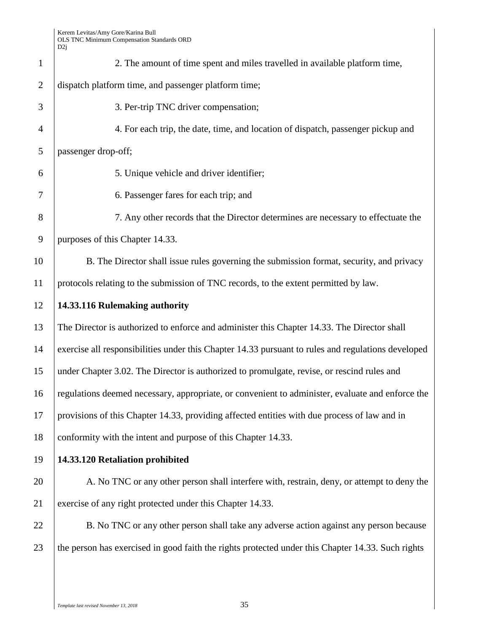| $\mathbf{1}$   | 2. The amount of time spent and miles travelled in available platform time,                        |
|----------------|----------------------------------------------------------------------------------------------------|
| $\overline{2}$ | dispatch platform time, and passenger platform time;                                               |
| 3              | 3. Per-trip TNC driver compensation;                                                               |
| $\overline{4}$ | 4. For each trip, the date, time, and location of dispatch, passenger pickup and                   |
| 5              | passenger drop-off;                                                                                |
| 6              | 5. Unique vehicle and driver identifier;                                                           |
| 7              | 6. Passenger fares for each trip; and                                                              |
| 8              | 7. Any other records that the Director determines are necessary to effectuate the                  |
| 9              | purposes of this Chapter 14.33.                                                                    |
| 10             | B. The Director shall issue rules governing the submission format, security, and privacy           |
| 11             | protocols relating to the submission of TNC records, to the extent permitted by law.               |
| 12             | 14.33.116 Rulemaking authority                                                                     |
| 13             | The Director is authorized to enforce and administer this Chapter 14.33. The Director shall        |
| 14             | exercise all responsibilities under this Chapter 14.33 pursuant to rules and regulations developed |
| 15             | under Chapter 3.02. The Director is authorized to promulgate, revise, or rescind rules and         |
| 16             | regulations deemed necessary, appropriate, or convenient to administer, evaluate and enforce the   |
| 17             | provisions of this Chapter 14.33, providing affected entities with due process of law and in       |
| 18             | conformity with the intent and purpose of this Chapter 14.33.                                      |
| 19             | 14.33.120 Retaliation prohibited                                                                   |
| 20             | A. No TNC or any other person shall interfere with, restrain, deny, or attempt to deny the         |
| 21             | exercise of any right protected under this Chapter 14.33.                                          |
| 22             | B. No TNC or any other person shall take any adverse action against any person because             |
| 23             | the person has exercised in good faith the rights protected under this Chapter 14.33. Such rights  |
|                |                                                                                                    |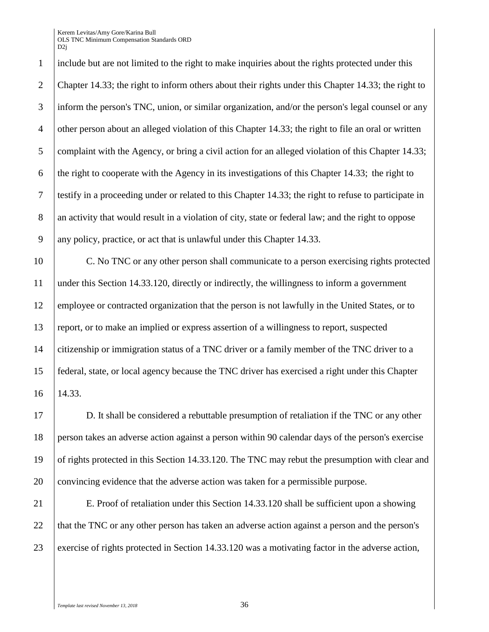include but are not limited to the right to make inquiries about the rights protected under this Chapter 14.33; the right to inform others about their rights under this Chapter 14.33; the right to inform the person's TNC, union, or similar organization, and/or the person's legal counsel or any other person about an alleged violation of this Chapter 14.33; the right to file an oral or written complaint with the Agency, or bring a civil action for an alleged violation of this Chapter 14.33; 6 the right to cooperate with the Agency in its investigations of this Chapter 14.33; the right to testify in a proceeding under or related to this Chapter 14.33; the right to refuse to participate in 8 an activity that would result in a violation of city, state or federal law; and the right to oppose any policy, practice, or act that is unlawful under this Chapter 14.33.

 C. No TNC or any other person shall communicate to a person exercising rights protected under this Section 14.33.120, directly or indirectly, the willingness to inform a government 12 employee or contracted organization that the person is not lawfully in the United States, or to report, or to make an implied or express assertion of a willingness to report, suspected citizenship or immigration status of a TNC driver or a family member of the TNC driver to a federal, state, or local agency because the TNC driver has exercised a right under this Chapter 14.33.

 D. It shall be considered a rebuttable presumption of retaliation if the TNC or any other person takes an adverse action against a person within 90 calendar days of the person's exercise of rights protected in this Section 14.33.120. The TNC may rebut the presumption with clear and convincing evidence that the adverse action was taken for a permissible purpose.

**E. Proof of retaliation under this Section 14.33.120 shall be sufficient upon a showing** 22 that the TNC or any other person has taken an adverse action against a person and the person's exercise of rights protected in Section 14.33.120 was a motivating factor in the adverse action,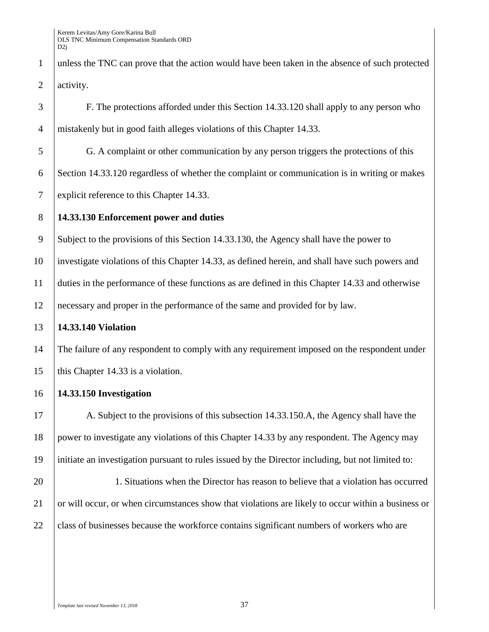unless the TNC can prove that the action would have been taken in the absence of such protected 2 activity.

 F. The protections afforded under this Section 14.33.120 shall apply to any person who mistakenly but in good faith alleges violations of this Chapter 14.33. G. A complaint or other communication by any person triggers the protections of this Section 14.33.120 regardless of whether the complaint or communication is in writing or makes explicit reference to this Chapter 14.33. **14.33.130 Enforcement power and duties** Subject to the provisions of this Section 14.33.130, the Agency shall have the power to investigate violations of this Chapter 14.33, as defined herein, and shall have such powers and duties in the performance of these functions as are defined in this Chapter 14.33 and otherwise necessary and proper in the performance of the same and provided for by law. **14.33.140 Violation** 14 The failure of any respondent to comply with any requirement imposed on the respondent under 15 | this Chapter 14.33 is a violation. **14.33.150 Investigation** 17 A. Subject to the provisions of this subsection 14.33.150. A, the Agency shall have the power to investigate any violations of this Chapter 14.33 by any respondent. The Agency may initiate an investigation pursuant to rules issued by the Director including, but not limited to:

 1. Situations when the Director has reason to believe that a violation has occurred 21 or will occur, or when circumstances show that violations are likely to occur within a business or 22 class of businesses because the workforce contains significant numbers of workers who are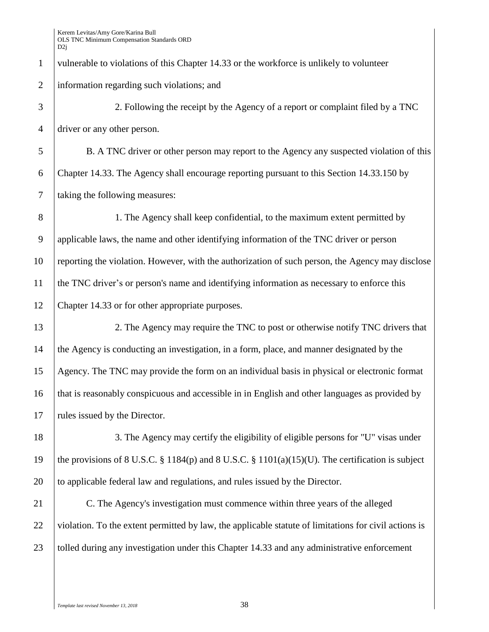vulnerable to violations of this Chapter 14.33 or the workforce is unlikely to volunteer information regarding such violations; and

 2. Following the receipt by the Agency of a report or complaint filed by a TNC driver or any other person.

 B. A TNC driver or other person may report to the Agency any suspected violation of this Chapter 14.33. The Agency shall encourage reporting pursuant to this Section 14.33.150 by taking the following measures:

 1. The Agency shall keep confidential, to the maximum extent permitted by applicable laws, the name and other identifying information of the TNC driver or person reporting the violation. However, with the authorization of such person, the Agency may disclose the TNC driver's or person's name and identifying information as necessary to enforce this Chapter 14.33 or for other appropriate purposes.

13 12. The Agency may require the TNC to post or otherwise notify TNC drivers that the Agency is conducting an investigation, in a form, place, and manner designated by the Agency. The TNC may provide the form on an individual basis in physical or electronic format that is reasonably conspicuous and accessible in in English and other languages as provided by 17 | rules issued by the Director.

18 3. The Agency may certify the eligibility of eligible persons for "U" visas under the provisions of 8 U.S.C. § 1184(p) and 8 U.S.C. § 1101(a)(15)(U). The certification is subject 20 to applicable federal law and regulations, and rules issued by the Director.

 C. The Agency's investigation must commence within three years of the alleged 22 violation. To the extent permitted by law, the applicable statute of limitations for civil actions is 23 | tolled during any investigation under this Chapter 14.33 and any administrative enforcement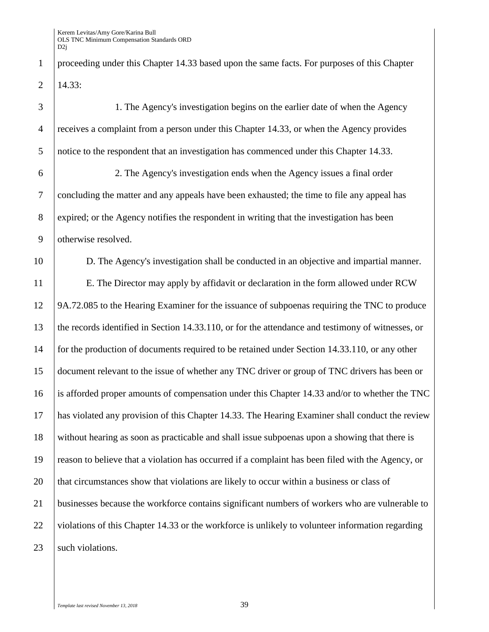1 proceeding under this Chapter 14.33 based upon the same facts. For purposes of this Chapter  $2 \mid 14.33$ :

| 3              | 1. The Agency's investigation begins on the earlier date of when the Agency                       |
|----------------|---------------------------------------------------------------------------------------------------|
| $\overline{4}$ | receives a complaint from a person under this Chapter 14.33, or when the Agency provides          |
| 5              | notice to the respondent that an investigation has commenced under this Chapter 14.33.            |
| 6              | 2. The Agency's investigation ends when the Agency issues a final order                           |
| $\overline{7}$ | concluding the matter and any appeals have been exhausted; the time to file any appeal has        |
| $8\phantom{1}$ | expired; or the Agency notifies the respondent in writing that the investigation has been         |
| 9              | otherwise resolved.                                                                               |
| 10             | D. The Agency's investigation shall be conducted in an objective and impartial manner.            |
| 11             | E. The Director may apply by affidavit or declaration in the form allowed under RCW               |
| 12             | 9A.72.085 to the Hearing Examiner for the issuance of subpoenas requiring the TNC to produce      |
| 13             | the records identified in Section 14.33.110, or for the attendance and testimony of witnesses, or |
| 14             | for the production of documents required to be retained under Section 14.33.110, or any other     |
| 15             | document relevant to the issue of whether any TNC driver or group of TNC drivers has been or      |
| 16             | is afforded proper amounts of compensation under this Chapter 14.33 and/or to whether the TNC     |
| 17             | has violated any provision of this Chapter 14.33. The Hearing Examiner shall conduct the review   |
| 18             | without hearing as soon as practicable and shall issue subpoenas upon a showing that there is     |
| 19             | reason to believe that a violation has occurred if a complaint has been filed with the Agency, or |
| 20             | that circumstances show that violations are likely to occur within a business or class of         |
| 21             | businesses because the workforce contains significant numbers of workers who are vulnerable to    |
| 22             | violations of this Chapter 14.33 or the workforce is unlikely to volunteer information regarding  |
| 23             | such violations.                                                                                  |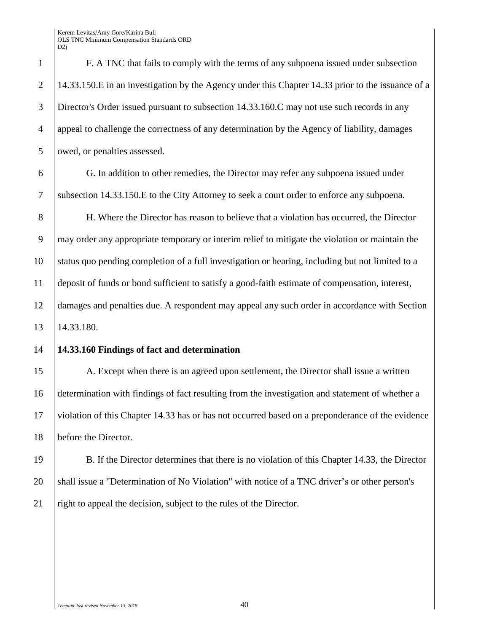F. A TNC that fails to comply with the terms of any subpoena issued under subsection 2 14.33.150.E in an investigation by the Agency under this Chapter 14.33 prior to the issuance of a Director's Order issued pursuant to subsection 14.33.160.C may not use such records in any appeal to challenge the correctness of any determination by the Agency of liability, damages 5 owed, or penalties assessed.

 G. In addition to other remedies, the Director may refer any subpoena issued under subsection 14.33.150.E to the City Attorney to seek a court order to enforce any subpoena.

 H. Where the Director has reason to believe that a violation has occurred, the Director may order any appropriate temporary or interim relief to mitigate the violation or maintain the status quo pending completion of a full investigation or hearing, including but not limited to a deposit of funds or bond sufficient to satisfy a good-faith estimate of compensation, interest, damages and penalties due. A respondent may appeal any such order in accordance with Section 14.33.180.

#### **14.33.160 Findings of fact and determination**

15 A. Except when there is an agreed upon settlement, the Director shall issue a written determination with findings of fact resulting from the investigation and statement of whether a violation of this Chapter 14.33 has or has not occurred based on a preponderance of the evidence before the Director.

 B. If the Director determines that there is no violation of this Chapter 14.33, the Director 20 Shall issue a "Determination of No Violation" with notice of a TNC driver's or other person's 21 | right to appeal the decision, subject to the rules of the Director.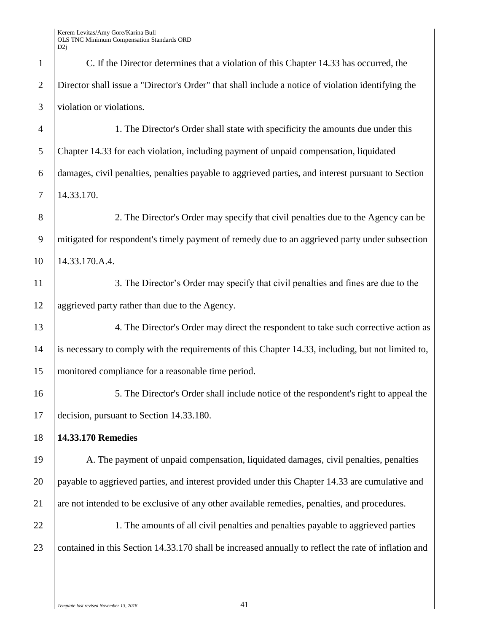| $\mathbf{1}$   | C. If the Director determines that a violation of this Chapter 14.33 has occurred, the               |
|----------------|------------------------------------------------------------------------------------------------------|
| $\overline{2}$ | Director shall issue a "Director's Order" that shall include a notice of violation identifying the   |
| 3              | violation or violations.                                                                             |
| $\overline{4}$ | 1. The Director's Order shall state with specificity the amounts due under this                      |
| 5              | Chapter 14.33 for each violation, including payment of unpaid compensation, liquidated               |
| 6              | damages, civil penalties, penalties payable to aggrieved parties, and interest pursuant to Section   |
| $\tau$         | 14.33.170.                                                                                           |
| 8              | 2. The Director's Order may specify that civil penalties due to the Agency can be                    |
| 9              | mitigated for respondent's timely payment of remedy due to an aggrieved party under subsection       |
| 10             | 14.33.170.A.4.                                                                                       |
| 11             | 3. The Director's Order may specify that civil penalties and fines are due to the                    |
| 12             | aggrieved party rather than due to the Agency.                                                       |
| 13             | 4. The Director's Order may direct the respondent to take such corrective action as                  |
| 14             | is necessary to comply with the requirements of this Chapter 14.33, including, but not limited to,   |
| 15             | monitored compliance for a reasonable time period.                                                   |
| 16             | 5. The Director's Order shall include notice of the respondent's right to appeal the                 |
| 17             | decision, pursuant to Section 14.33.180.                                                             |
| 18             | 14.33.170 Remedies                                                                                   |
| 19             | A. The payment of unpaid compensation, liquidated damages, civil penalties, penalties                |
| 20             | payable to aggrieved parties, and interest provided under this Chapter 14.33 are cumulative and      |
| 21             | are not intended to be exclusive of any other available remedies, penalties, and procedures.         |
| 22             | 1. The amounts of all civil penalties and penalties payable to aggrieved parties                     |
| 23             | contained in this Section 14.33.170 shall be increased annually to reflect the rate of inflation and |
|                |                                                                                                      |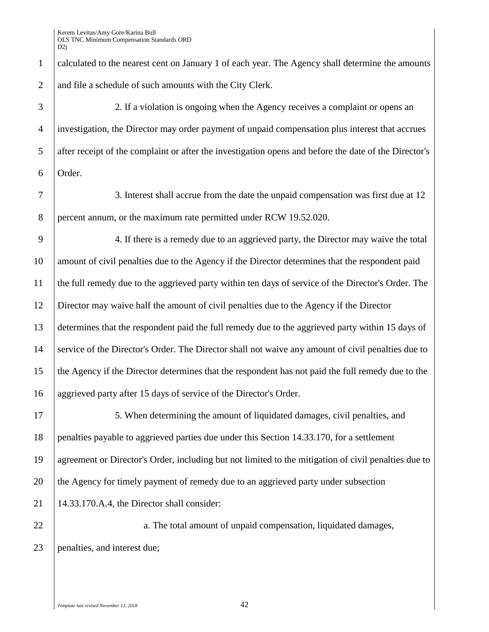|                | DZ]                                                                                                   |
|----------------|-------------------------------------------------------------------------------------------------------|
| $\mathbf{1}$   | calculated to the nearest cent on January 1 of each year. The Agency shall determine the amounts      |
| $\overline{2}$ | and file a schedule of such amounts with the City Clerk.                                              |
| 3              | 2. If a violation is ongoing when the Agency receives a complaint or opens an                         |
| $\overline{4}$ | investigation, the Director may order payment of unpaid compensation plus interest that accrues       |
| 5              | after receipt of the complaint or after the investigation opens and before the date of the Director's |
| 6              | Order.                                                                                                |
| $\overline{7}$ | 3. Interest shall accrue from the date the unpaid compensation was first due at 12                    |
| 8              | percent annum, or the maximum rate permitted under RCW 19.52.020.                                     |
| 9              | 4. If there is a remedy due to an aggrieved party, the Director may waive the total                   |
| 10             | amount of civil penalties due to the Agency if the Director determines that the respondent paid       |
| 11             | the full remedy due to the aggrieved party within ten days of service of the Director's Order. The    |
| 12             | Director may waive half the amount of civil penalties due to the Agency if the Director               |
| 13             | determines that the respondent paid the full remedy due to the aggrieved party within 15 days of      |
| 14             | service of the Director's Order. The Director shall not waive any amount of civil penalties due to    |
| 15             | the Agency if the Director determines that the respondent has not paid the full remedy due to the     |
| 16             | aggrieved party after 15 days of service of the Director's Order.                                     |
| 17             | 5. When determining the amount of liquidated damages, civil penalties, and                            |
| 18             | penalties payable to aggrieved parties due under this Section 14.33.170, for a settlement             |
| 19             | agreement or Director's Order, including but not limited to the mitigation of civil penalties due to  |
| 20             | the Agency for timely payment of remedy due to an aggrieved party under subsection                    |
| 21             | 14.33.170.A.4, the Director shall consider:                                                           |
| 22             | a. The total amount of unpaid compensation, liquidated damages,                                       |
| 23             | penalties, and interest due;                                                                          |
|                |                                                                                                       |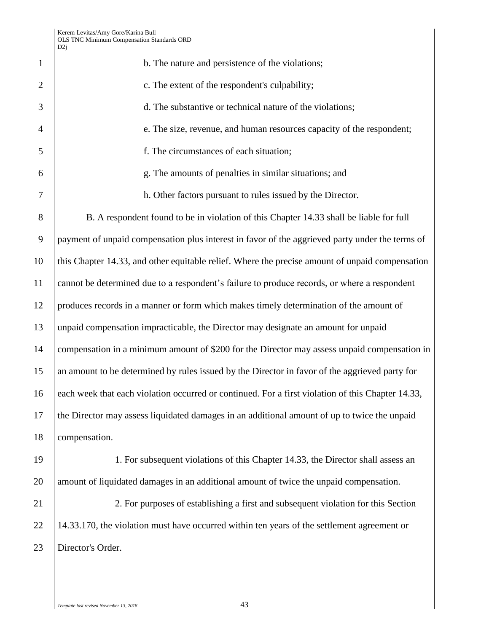| $\mathbf{1}$   | b. The nature and persistence of the violations;                                                  |
|----------------|---------------------------------------------------------------------------------------------------|
| $\overline{2}$ | c. The extent of the respondent's culpability;                                                    |
| 3              | d. The substantive or technical nature of the violations;                                         |
| $\overline{4}$ | e. The size, revenue, and human resources capacity of the respondent;                             |
| 5              | f. The circumstances of each situation;                                                           |
| 6              | g. The amounts of penalties in similar situations; and                                            |
| $\overline{7}$ | h. Other factors pursuant to rules issued by the Director.                                        |
| $8\,$          | B. A respondent found to be in violation of this Chapter 14.33 shall be liable for full           |
| 9              | payment of unpaid compensation plus interest in favor of the aggrieved party under the terms of   |
| 10             | this Chapter 14.33, and other equitable relief. Where the precise amount of unpaid compensation   |
| 11             | cannot be determined due to a respondent's failure to produce records, or where a respondent      |
| 12             | produces records in a manner or form which makes timely determination of the amount of            |
| 13             | unpaid compensation impracticable, the Director may designate an amount for unpaid                |
| 14             | compensation in a minimum amount of \$200 for the Director may assess unpaid compensation in      |
| 15             | an amount to be determined by rules issued by the Director in favor of the aggrieved party for    |
| 16             | each week that each violation occurred or continued. For a first violation of this Chapter 14.33, |
| 17             | the Director may assess liquidated damages in an additional amount of up to twice the unpaid      |
| 18             | compensation.                                                                                     |
| 19             | 1. For subsequent violations of this Chapter 14.33, the Director shall assess an                  |
| 20             | amount of liquidated damages in an additional amount of twice the unpaid compensation.            |
| 21             | 2. For purposes of establishing a first and subsequent violation for this Section                 |

22 14.33.170, the violation must have occurred within ten years of the settlement agreement or 23 | Director's Order.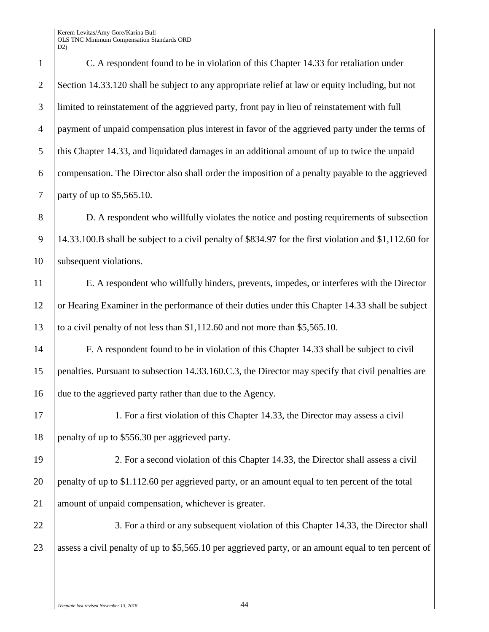C. A respondent found to be in violation of this Chapter 14.33 for retaliation under Section 14.33.120 shall be subject to any appropriate relief at law or equity including, but not limited to reinstatement of the aggrieved party, front pay in lieu of reinstatement with full payment of unpaid compensation plus interest in favor of the aggrieved party under the terms of this Chapter 14.33, and liquidated damages in an additional amount of up to twice the unpaid compensation. The Director also shall order the imposition of a penalty payable to the aggrieved party of up to \$5,565.10.

8 D. A respondent who willfully violates the notice and posting requirements of subsection 9 14.33.100.B shall be subject to a civil penalty of \$834.97 for the first violation and \$1,112.60 for 10 | subsequent violations.

11 E. A respondent who willfully hinders, prevents, impedes, or interferes with the Director 12 or Hearing Examiner in the performance of their duties under this Chapter 14.33 shall be subject 13 to a civil penalty of not less than \$1,112.60 and not more than \$5,565.10.

14 F. A respondent found to be in violation of this Chapter 14.33 shall be subject to civil 15 penalties. Pursuant to subsection 14.33.160.C.3, the Director may specify that civil penalties are 16 due to the aggrieved party rather than due to the Agency.

17 1. For a first violation of this Chapter 14.33, the Director may assess a civil 18 penalty of up to \$556.30 per aggrieved party.

19 2. For a second violation of this Chapter 14.33, the Director shall assess a civil 20 penalty of up to \$1.112.60 per aggrieved party, or an amount equal to ten percent of the total 21 amount of unpaid compensation, whichever is greater.

22 3. For a third or any subsequent violation of this Chapter 14.33, the Director shall 23 assess a civil penalty of up to \$5,565.10 per aggrieved party, or an amount equal to ten percent of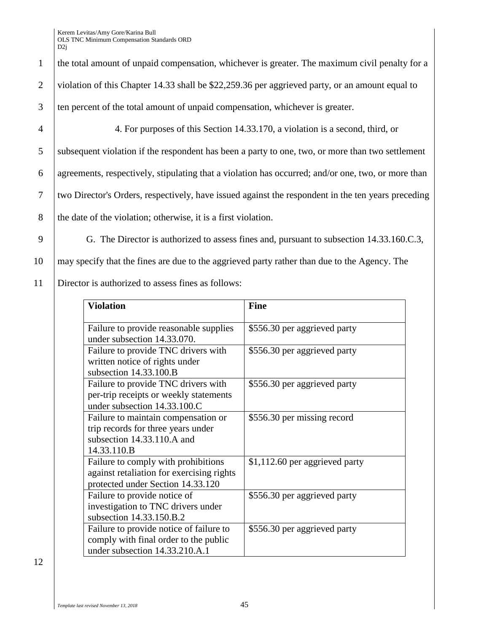10 may specify that the fines are due to the aggrieved party rather than due to the Agency. The

11 Director is authorized to assess fines as follows:

| <b>Violation</b>                                                                                                       | <b>Fine</b>                    |
|------------------------------------------------------------------------------------------------------------------------|--------------------------------|
| Failure to provide reasonable supplies<br>under subsection 14.33.070.                                                  | \$556.30 per aggrieved party   |
| Failure to provide TNC drivers with<br>written notice of rights under<br>subsection $14.33.100.B$                      | \$556.30 per aggrieved party   |
| Failure to provide TNC drivers with<br>per-trip receipts or weekly statements<br>under subsection 14.33.100.C          | \$556.30 per aggrieved party   |
| Failure to maintain compensation or<br>trip records for three years under<br>subsection 14.33.110.A and<br>14.33.110.B | \$556.30 per missing record    |
| Failure to comply with prohibitions<br>against retaliation for exercising rights<br>protected under Section 14.33.120  | \$1,112.60 per aggrieved party |
| Failure to provide notice of<br>investigation to TNC drivers under<br>subsection 14.33.150.B.2                         | \$556.30 per aggrieved party   |
| Failure to provide notice of failure to<br>comply with final order to the public<br>under subsection 14.33.210.A.1     | \$556.30 per aggrieved party   |

12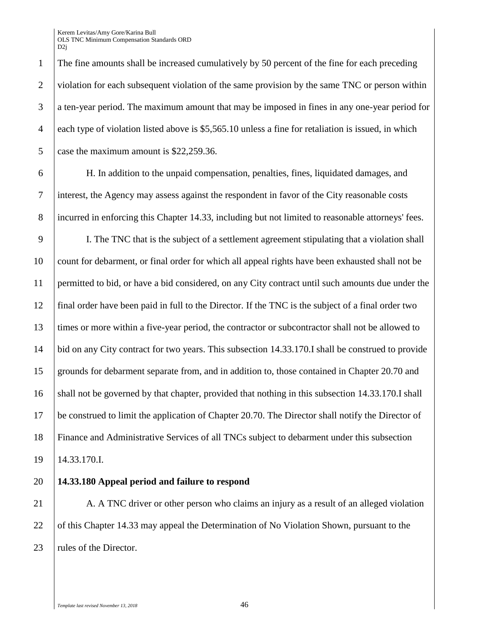1 The fine amounts shall be increased cumulatively by 50 percent of the fine for each preceding 2 violation for each subsequent violation of the same provision by the same TNC or person within 3 a ten-year period. The maximum amount that may be imposed in fines in any one-year period for 4 each type of violation listed above is \$5,565.10 unless a fine for retaliation is issued, in which 5 case the maximum amount is \$22,259.36.

6 H. In addition to the unpaid compensation, penalties, fines, liquidated damages, and 7 interest, the Agency may assess against the respondent in favor of the City reasonable costs 8 incurred in enforcing this Chapter 14.33, including but not limited to reasonable attorneys' fees.

 I. The TNC that is the subject of a settlement agreement stipulating that a violation shall count for debarment, or final order for which all appeal rights have been exhausted shall not be permitted to bid, or have a bid considered, on any City contract until such amounts due under the final order have been paid in full to the Director. If the TNC is the subject of a final order two times or more within a five-year period, the contractor or subcontractor shall not be allowed to bid on any City contract for two years. This subsection 14.33.170.I shall be construed to provide grounds for debarment separate from, and in addition to, those contained in Chapter 20.70 and 16 shall not be governed by that chapter, provided that nothing in this subsection 14.33.170. I shall be construed to limit the application of Chapter 20.70. The Director shall notify the Director of Finance and Administrative Services of all TNCs subject to debarment under this subsection 14.33.170.I.

## 20 **14.33.180 Appeal period and failure to respond**

21 A. A TNC driver or other person who claims an injury as a result of an alleged violation 22 of this Chapter 14.33 may appeal the Determination of No Violation Shown, pursuant to the 23 | rules of the Director.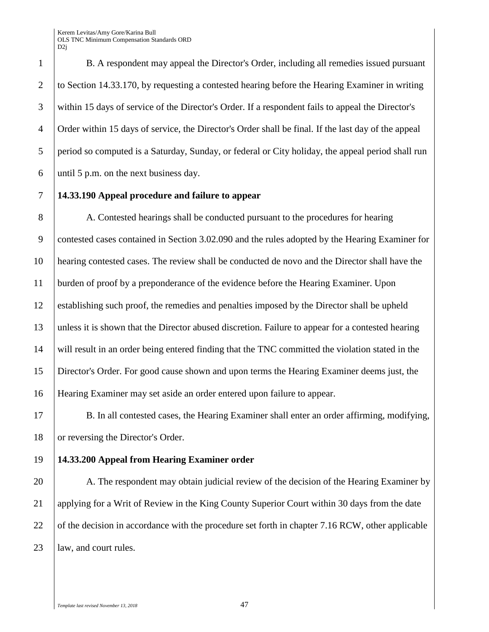B. A respondent may appeal the Director's Order, including all remedies issued pursuant to Section 14.33.170, by requesting a contested hearing before the Hearing Examiner in writing within 15 days of service of the Director's Order. If a respondent fails to appeal the Director's Order within 15 days of service, the Director's Order shall be final. If the last day of the appeal period so computed is a Saturday, Sunday, or federal or City holiday, the appeal period shall run 6 until 5 p.m. on the next business day.

#### **14.33.190 Appeal procedure and failure to appear**

8 | A. Contested hearings shall be conducted pursuant to the procedures for hearing contested cases contained in Section 3.02.090 and the rules adopted by the Hearing Examiner for hearing contested cases. The review shall be conducted de novo and the Director shall have the burden of proof by a preponderance of the evidence before the Hearing Examiner. Upon establishing such proof, the remedies and penalties imposed by the Director shall be upheld unless it is shown that the Director abused discretion. Failure to appear for a contested hearing will result in an order being entered finding that the TNC committed the violation stated in the Director's Order. For good cause shown and upon terms the Hearing Examiner deems just, the Hearing Examiner may set aside an order entered upon failure to appear.

 B. In all contested cases, the Hearing Examiner shall enter an order affirming, modifying, 18 or reversing the Director's Order.

#### **14.33.200 Appeal from Hearing Examiner order**

20 A. The respondent may obtain judicial review of the decision of the Hearing Examiner by 21 applying for a Writ of Review in the King County Superior Court within 30 days from the date 22 of the decision in accordance with the procedure set forth in chapter 7.16 RCW, other applicable *law*, and court rules.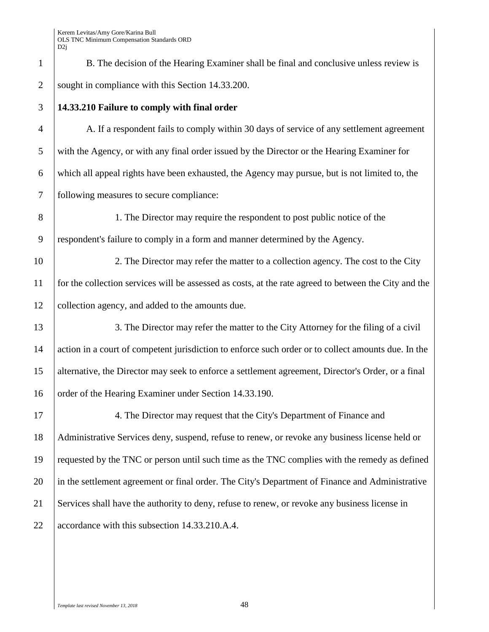1 B. The decision of the Hearing Examiner shall be final and conclusive unless review is 2 sought in compliance with this Section 14.33.200.

## 3 **14.33.210 Failure to comply with final order**

 A. If a respondent fails to comply within 30 days of service of any settlement agreement with the Agency, or with any final order issued by the Director or the Hearing Examiner for which all appeal rights have been exhausted, the Agency may pursue, but is not limited to, the following measures to secure compliance:

8 1. The Director may require the respondent to post public notice of the 9 respondent's failure to comply in a form and manner determined by the Agency.

10 2. The Director may refer the matter to a collection agency. The cost to the City 11 for the collection services will be assessed as costs, at the rate agreed to between the City and the 12 collection agency, and added to the amounts due.

13 3. The Director may refer the matter to the City Attorney for the filing of a civil 14 action in a court of competent jurisdiction to enforce such order or to collect amounts due. In the 15 alternative, the Director may seek to enforce a settlement agreement, Director's Order, or a final 16 | order of the Hearing Examiner under Section 14.33.190.

17 17 4. The Director may request that the City's Department of Finance and 18 Administrative Services deny, suspend, refuse to renew, or revoke any business license held or 19 requested by the TNC or person until such time as the TNC complies with the remedy as defined 20 in the settlement agreement or final order. The City's Department of Finance and Administrative 21 Services shall have the authority to deny, refuse to renew, or revoke any business license in 22 accordance with this subsection 14.33.210.A.4.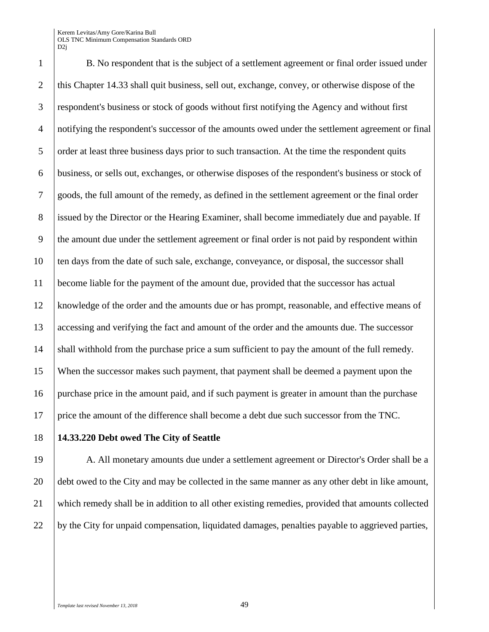1 B. No respondent that is the subject of a settlement agreement or final order issued under 2 this Chapter 14.33 shall quit business, sell out, exchange, convey, or otherwise dispose of the respondent's business or stock of goods without first notifying the Agency and without first notifying the respondent's successor of the amounts owed under the settlement agreement or final 5 order at least three business days prior to such transaction. At the time the respondent quits business, or sells out, exchanges, or otherwise disposes of the respondent's business or stock of goods, the full amount of the remedy, as defined in the settlement agreement or the final order issued by the Director or the Hearing Examiner, shall become immediately due and payable. If the amount due under the settlement agreement or final order is not paid by respondent within ten days from the date of such sale, exchange, conveyance, or disposal, the successor shall become liable for the payment of the amount due, provided that the successor has actual knowledge of the order and the amounts due or has prompt, reasonable, and effective means of 13 accessing and verifying the fact and amount of the order and the amounts due. The successor shall withhold from the purchase price a sum sufficient to pay the amount of the full remedy. When the successor makes such payment, that payment shall be deemed a payment upon the purchase price in the amount paid, and if such payment is greater in amount than the purchase price the amount of the difference shall become a debt due such successor from the TNC.

#### **14.33.220 Debt owed The City of Seattle**

 A. All monetary amounts due under a settlement agreement or Director's Order shall be a 20 debt owed to the City and may be collected in the same manner as any other debt in like amount, which remedy shall be in addition to all other existing remedies, provided that amounts collected by the City for unpaid compensation, liquidated damages, penalties payable to aggrieved parties,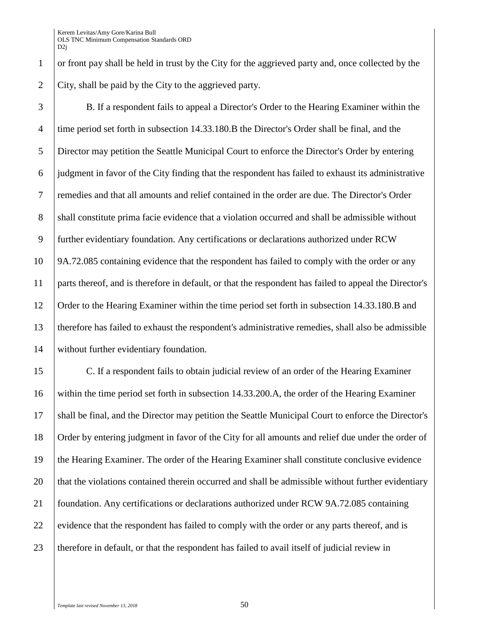or front pay shall be held in trust by the City for the aggrieved party and, once collected by the City, shall be paid by the City to the aggrieved party.

 B. If a respondent fails to appeal a Director's Order to the Hearing Examiner within the time period set forth in subsection 14.33.180.B the Director's Order shall be final, and the Director may petition the Seattle Municipal Court to enforce the Director's Order by entering judgment in favor of the City finding that the respondent has failed to exhaust its administrative remedies and that all amounts and relief contained in the order are due. The Director's Order 8 shall constitute prima facie evidence that a violation occurred and shall be admissible without further evidentiary foundation. Any certifications or declarations authorized under RCW 9A.72.085 containing evidence that the respondent has failed to comply with the order or any parts thereof, and is therefore in default, or that the respondent has failed to appeal the Director's Order to the Hearing Examiner within the time period set forth in subsection 14.33.180.B and therefore has failed to exhaust the respondent's administrative remedies, shall also be admissible without further evidentiary foundation.

 C. If a respondent fails to obtain judicial review of an order of the Hearing Examiner within the time period set forth in subsection 14.33.200.A, the order of the Hearing Examiner shall be final, and the Director may petition the Seattle Municipal Court to enforce the Director's Order by entering judgment in favor of the City for all amounts and relief due under the order of the Hearing Examiner. The order of the Hearing Examiner shall constitute conclusive evidence 20 that the violations contained therein occurred and shall be admissible without further evidentiary foundation. Any certifications or declarations authorized under RCW 9A.72.085 containing 22 evidence that the respondent has failed to comply with the order or any parts thereof, and is 23 therefore in default, or that the respondent has failed to avail itself of judicial review in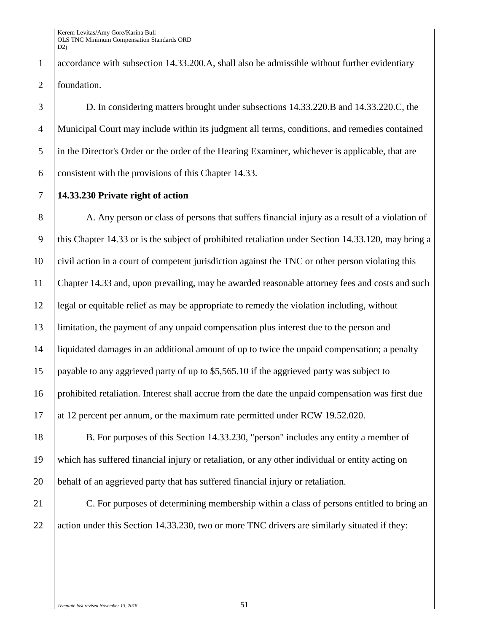accordance with subsection 14.33.200.A, shall also be admissible without further evidentiary 2 foundation.

 D. In considering matters brought under subsections 14.33.220.B and 14.33.220.C, the Municipal Court may include within its judgment all terms, conditions, and remedies contained in the Director's Order or the order of the Hearing Examiner, whichever is applicable, that are 6 consistent with the provisions of this Chapter 14.33.

**14.33.230 Private right of action**

8 A. Any person or class of persons that suffers financial injury as a result of a violation of this Chapter 14.33 or is the subject of prohibited retaliation under Section 14.33.120, may bring a civil action in a court of competent jurisdiction against the TNC or other person violating this Chapter 14.33 and, upon prevailing, may be awarded reasonable attorney fees and costs and such legal or equitable relief as may be appropriate to remedy the violation including, without limitation, the payment of any unpaid compensation plus interest due to the person and liquidated damages in an additional amount of up to twice the unpaid compensation; a penalty payable to any aggrieved party of up to \$5,565.10 if the aggrieved party was subject to prohibited retaliation. Interest shall accrue from the date the unpaid compensation was first due 17 at 12 percent per annum, or the maximum rate permitted under RCW 19.52.020.

 B. For purposes of this Section 14.33.230, "person" includes any entity a member of which has suffered financial injury or retaliation, or any other individual or entity acting on behalf of an aggrieved party that has suffered financial injury or retaliation.

21 C. For purposes of determining membership within a class of persons entitled to bring an 22 action under this Section 14.33.230, two or more TNC drivers are similarly situated if they: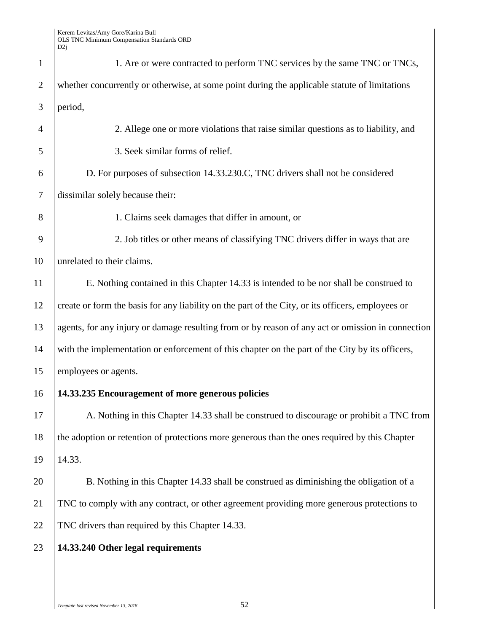| $\mathbf{1}$   | 1. Are or were contracted to perform TNC services by the same TNC or TNCs,                        |
|----------------|---------------------------------------------------------------------------------------------------|
| $\overline{2}$ | whether concurrently or otherwise, at some point during the applicable statute of limitations     |
| 3              | period,                                                                                           |
| 4              | 2. Allege one or more violations that raise similar questions as to liability, and                |
| 5              | 3. Seek similar forms of relief.                                                                  |
| 6              | D. For purposes of subsection 14.33.230.C, TNC drivers shall not be considered                    |
| 7              | dissimilar solely because their:                                                                  |
| 8              | 1. Claims seek damages that differ in amount, or                                                  |
| 9              | 2. Job titles or other means of classifying TNC drivers differ in ways that are                   |
| 10             | unrelated to their claims.                                                                        |
| 11             | E. Nothing contained in this Chapter 14.33 is intended to be nor shall be construed to            |
| 12             | create or form the basis for any liability on the part of the City, or its officers, employees or |
| 13             | agents, for any injury or damage resulting from or by reason of any act or omission in connection |
| 14             | with the implementation or enforcement of this chapter on the part of the City by its officers,   |
| 15             | employees or agents.                                                                              |
| 16             | 14.33.235 Encouragement of more generous policies                                                 |
| 17             | A. Nothing in this Chapter 14.33 shall be construed to discourage or prohibit a TNC from          |
| 18             | the adoption or retention of protections more generous than the ones required by this Chapter     |
| 19             | 14.33.                                                                                            |
| 20             | B. Nothing in this Chapter 14.33 shall be construed as diminishing the obligation of a            |
| 21             | TNC to comply with any contract, or other agreement providing more generous protections to        |
| 22             | TNC drivers than required by this Chapter 14.33.                                                  |
| 23             | 14.33.240 Other legal requirements                                                                |
|                |                                                                                                   |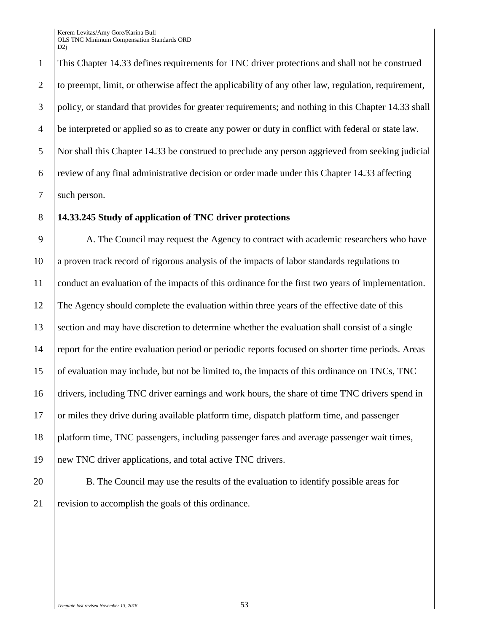This Chapter 14.33 defines requirements for TNC driver protections and shall not be construed 2 to preempt, limit, or otherwise affect the applicability of any other law, regulation, requirement, policy, or standard that provides for greater requirements; and nothing in this Chapter 14.33 shall be interpreted or applied so as to create any power or duty in conflict with federal or state law. Nor shall this Chapter 14.33 be construed to preclude any person aggrieved from seeking judicial review of any final administrative decision or order made under this Chapter 14.33 affecting 7 such person.

#### **14.33.245 Study of application of TNC driver protections**

 A. The Council may request the Agency to contract with academic researchers who have a proven track record of rigorous analysis of the impacts of labor standards regulations to conduct an evaluation of the impacts of this ordinance for the first two years of implementation. The Agency should complete the evaluation within three years of the effective date of this section and may have discretion to determine whether the evaluation shall consist of a single report for the entire evaluation period or periodic reports focused on shorter time periods. Areas of evaluation may include, but not be limited to, the impacts of this ordinance on TNCs, TNC drivers, including TNC driver earnings and work hours, the share of time TNC drivers spend in or miles they drive during available platform time, dispatch platform time, and passenger platform time, TNC passengers, including passenger fares and average passenger wait times, new TNC driver applications, and total active TNC drivers.

20 B. The Council may use the results of the evaluation to identify possible areas for revision to accomplish the goals of this ordinance.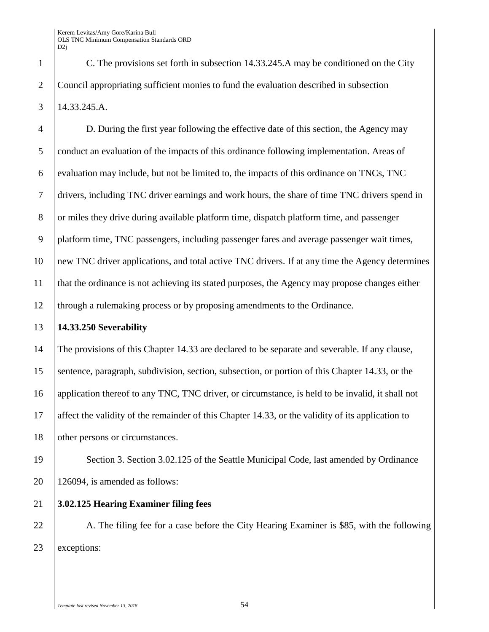1 C. The provisions set forth in subsection 14.33.245.A may be conditioned on the City 2 Council appropriating sufficient monies to fund the evaluation described in subsection 3 14.33.245.A.

 D. During the first year following the effective date of this section, the Agency may conduct an evaluation of the impacts of this ordinance following implementation. Areas of evaluation may include, but not be limited to, the impacts of this ordinance on TNCs, TNC drivers, including TNC driver earnings and work hours, the share of time TNC drivers spend in 8 or miles they drive during available platform time, dispatch platform time, and passenger platform time, TNC passengers, including passenger fares and average passenger wait times, new TNC driver applications, and total active TNC drivers. If at any time the Agency determines that the ordinance is not achieving its stated purposes, the Agency may propose changes either through a rulemaking process or by proposing amendments to the Ordinance.

#### 13 **14.33.250 Severability**

14 The provisions of this Chapter 14.33 are declared to be separate and severable. If any clause, 15 sentence, paragraph, subdivision, section, subsection, or portion of this Chapter 14.33, or the 16 application thereof to any TNC, TNC driver, or circumstance, is held to be invalid, it shall not 17 affect the validity of the remainder of this Chapter 14.33, or the validity of its application to 18 other persons or circumstances.

19 Section 3. Section 3.02.125 of the Seattle Municipal Code, last amended by Ordinance  $20 \mid 126094$ , is amended as follows:

21 **3.02.125 Hearing Examiner filing fees**

22 A. The filing fee for a case before the City Hearing Examiner is \$85, with the following 23 exceptions: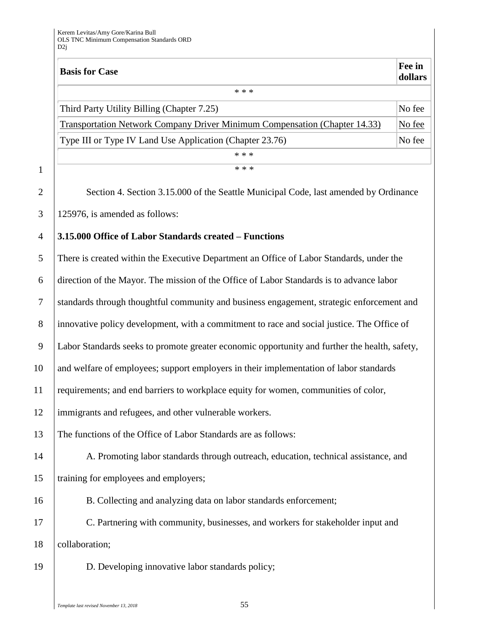| <b>Basis for Case</b>                                                      | Fee in<br>dollars |
|----------------------------------------------------------------------------|-------------------|
| * * *                                                                      |                   |
| Third Party Utility Billing (Chapter 7.25)                                 | No fee            |
| Transportation Network Company Driver Minimum Compensation (Chapter 14.33) | No fee            |
| Type III or Type IV Land Use Application (Chapter 23.76)                   | No fee            |
| * * *                                                                      |                   |
| * * *                                                                      |                   |

2 | Section 4. Section 3.15.000 of the Seattle Municipal Code, last amended by Ordinance 3 125976, is amended as follows:

#### 4 **3.15.000 Office of Labor Standards created – Functions**

 There is created within the Executive Department an Office of Labor Standards, under the direction of the Mayor. The mission of the Office of Labor Standards is to advance labor standards through thoughtful community and business engagement, strategic enforcement and 8 innovative policy development, with a commitment to race and social justice. The Office of Labor Standards seeks to promote greater economic opportunity and further the health, safety, 10 and welfare of employees; support employers in their implementation of labor standards requirements; and end barriers to workplace equity for women, communities of color, immigrants and refugees, and other vulnerable workers. The functions of the Office of Labor Standards are as follows: 14 A. Promoting labor standards through outreach, education, technical assistance, and 15 Training for employees and employers; B. Collecting and analyzing data on labor standards enforcement; C. Partnering with community, businesses, and workers for stakeholder input and 18 collaboration; D. Developing innovative labor standards policy;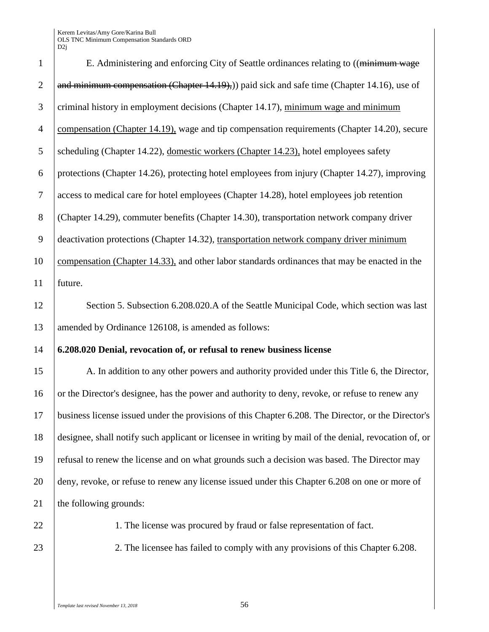|                | D2j                                                                                                   |
|----------------|-------------------------------------------------------------------------------------------------------|
| $\mathbf{1}$   | E. Administering and enforcing City of Seattle ordinances relating to ((minimum wage                  |
| $\overline{2}$ | and minimum compensation (Chapter 14.19),) paid sick and safe time (Chapter 14.16), use of            |
| 3              | criminal history in employment decisions (Chapter 14.17), minimum wage and minimum                    |
| $\overline{4}$ | compensation (Chapter 14.19), wage and tip compensation requirements (Chapter 14.20), secure          |
| 5              | scheduling (Chapter 14.22), domestic workers (Chapter 14.23), hotel employees safety                  |
| 6              | protections (Chapter 14.26), protecting hotel employees from injury (Chapter 14.27), improving        |
| $\overline{7}$ | access to medical care for hotel employees (Chapter 14.28), hotel employees job retention             |
| $8\,$          | (Chapter 14.29), commuter benefits (Chapter 14.30), transportation network company driver             |
| $\mathbf{9}$   | deactivation protections (Chapter 14.32), transportation network company driver minimum               |
| 10             | compensation (Chapter 14.33), and other labor standards ordinances that may be enacted in the         |
| 11             | future.                                                                                               |
| 12             | Section 5. Subsection 6.208.020.A of the Seattle Municipal Code, which section was last               |
| 13             | amended by Ordinance 126108, is amended as follows:                                                   |
| 14             | 6.208.020 Denial, revocation of, or refusal to renew business license                                 |
| 15             | A. In addition to any other powers and authority provided under this Title 6, the Director,           |
| 16             | or the Director's designee, has the power and authority to deny, revoke, or refuse to renew any       |
| 17             | business license issued under the provisions of this Chapter 6.208. The Director, or the Director's   |
| 18             | designee, shall notify such applicant or licensee in writing by mail of the denial, revocation of, or |
| 19             | refusal to renew the license and on what grounds such a decision was based. The Director may          |
| 20             | deny, revoke, or refuse to renew any license issued under this Chapter 6.208 on one or more of        |
| 21             | the following grounds:                                                                                |
| 22             | 1. The license was procured by fraud or false representation of fact.                                 |
| 23             | 2. The licensee has failed to comply with any provisions of this Chapter 6.208.                       |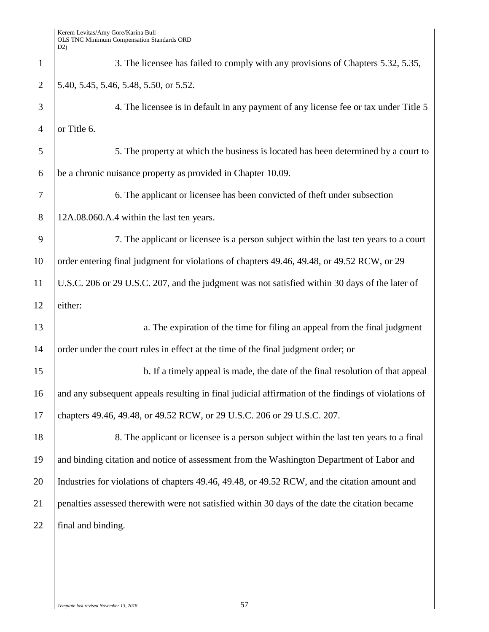| $\mathbf{1}$   | 3. The licensee has failed to comply with any provisions of Chapters 5.32, 5.35,                    |
|----------------|-----------------------------------------------------------------------------------------------------|
| $\overline{2}$ | 5.40, 5.45, 5.46, 5.48, 5.50, or 5.52.                                                              |
| 3              | 4. The licensee is in default in any payment of any license fee or tax under Title 5                |
| $\overline{4}$ | or Title 6.                                                                                         |
| 5              | 5. The property at which the business is located has been determined by a court to                  |
| 6              | be a chronic nuisance property as provided in Chapter 10.09.                                        |
| 7              | 6. The applicant or licensee has been convicted of theft under subsection                           |
| 8              | 12A.08.060.A.4 within the last ten years.                                                           |
| 9              | 7. The applicant or licensee is a person subject within the last ten years to a court               |
| 10             | order entering final judgment for violations of chapters 49.46, 49.48, or 49.52 RCW, or 29          |
| 11             | U.S.C. 206 or 29 U.S.C. 207, and the judgment was not satisfied within 30 days of the later of      |
| 12             | either:                                                                                             |
| 13             | a. The expiration of the time for filing an appeal from the final judgment                          |
| 14             | order under the court rules in effect at the time of the final judgment order; or                   |
| 15             | b. If a timely appeal is made, the date of the final resolution of that appeal                      |
| 16             | and any subsequent appeals resulting in final judicial affirmation of the findings of violations of |
| 17             | chapters 49.46, 49.48, or 49.52 RCW, or 29 U.S.C. 206 or 29 U.S.C. 207.                             |
| 18             | 8. The applicant or licensee is a person subject within the last ten years to a final               |
| 19             | and binding citation and notice of assessment from the Washington Department of Labor and           |
| 20             | Industries for violations of chapters 49.46, 49.48, or 49.52 RCW, and the citation amount and       |
| 21             | penalties assessed therewith were not satisfied within 30 days of the date the citation became      |
| 22             | final and binding.                                                                                  |
|                |                                                                                                     |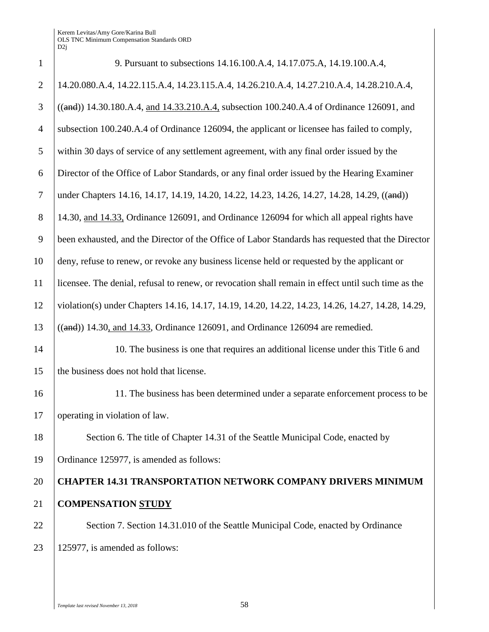| $\mathbf{1}$   | 9. Pursuant to subsections 14.16.100.A.4, 14.17.075.A, 14.19.100.A.4,                               |
|----------------|-----------------------------------------------------------------------------------------------------|
| $\overline{2}$ | 14.20.080.A.4, 14.22.115.A.4, 14.23.115.A.4, 14.26.210.A.4, 14.27.210.A.4, 14.28.210.A.4,           |
| 3              | ((and)) 14.30.180.A.4, and 14.33.210.A.4, subsection 100.240.A.4 of Ordinance 126091, and           |
| $\overline{4}$ | subsection 100.240.A.4 of Ordinance 126094, the applicant or licensee has failed to comply,         |
| 5              | within 30 days of service of any settlement agreement, with any final order issued by the           |
| 6              | Director of the Office of Labor Standards, or any final order issued by the Hearing Examiner        |
| $\overline{7}$ | under Chapters 14.16, 14.17, 14.19, 14.20, 14.22, 14.23, 14.26, 14.27, 14.28, 14.29, ((and))        |
| 8              | 14.30, and 14.33, Ordinance 126091, and Ordinance 126094 for which all appeal rights have           |
| 9              | been exhausted, and the Director of the Office of Labor Standards has requested that the Director   |
| 10             | deny, refuse to renew, or revoke any business license held or requested by the applicant or         |
| 11             | licensee. The denial, refusal to renew, or revocation shall remain in effect until such time as the |
| 12             | violation(s) under Chapters 14.16, 14.17, 14.19, 14.20, 14.22, 14.23, 14.26, 14.27, 14.28, 14.29,   |
| 13             | $((and))$ 14.30, and 14.33, Ordinance 126091, and Ordinance 126094 are remedied.                    |
| 14             | 10. The business is one that requires an additional license under this Title 6 and                  |
| 15             | the business does not hold that license.                                                            |
| 16             | 11. The business has been determined under a separate enforcement process to be                     |
| 17             | operating in violation of law.                                                                      |
| 18             | Section 6. The title of Chapter 14.31 of the Seattle Municipal Code, enacted by                     |
| 19             | Ordinance 125977, is amended as follows:                                                            |
| 20             | <b>CHAPTER 14.31 TRANSPORTATION NETWORK COMPANY DRIVERS MINIMUM</b>                                 |
| 21             | <b>COMPENSATION STUDY</b>                                                                           |
| 22             | Section 7. Section 14.31.010 of the Seattle Municipal Code, enacted by Ordinance                    |
| 23             | 125977, is amended as follows:                                                                      |
|                |                                                                                                     |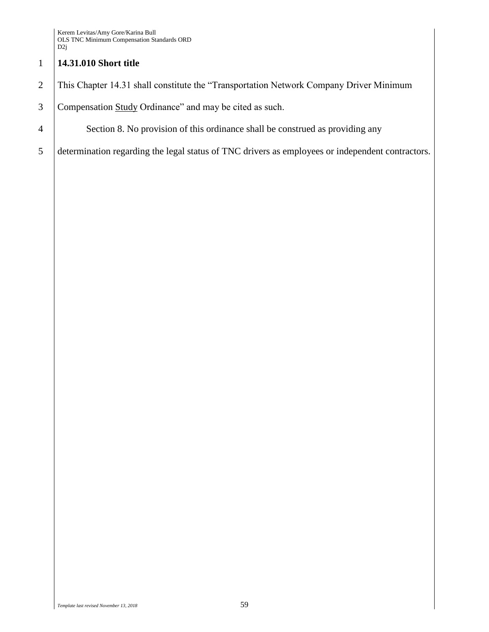# 1 **14.31.010 Short title**

- 2 This Chapter 14.31 shall constitute the "Transportation Network Company Driver Minimum
- 3 Compensation Study Ordinance" and may be cited as such.
- 4 Section 8. No provision of this ordinance shall be construed as providing any
- 5 determination regarding the legal status of TNC drivers as employees or independent contractors.